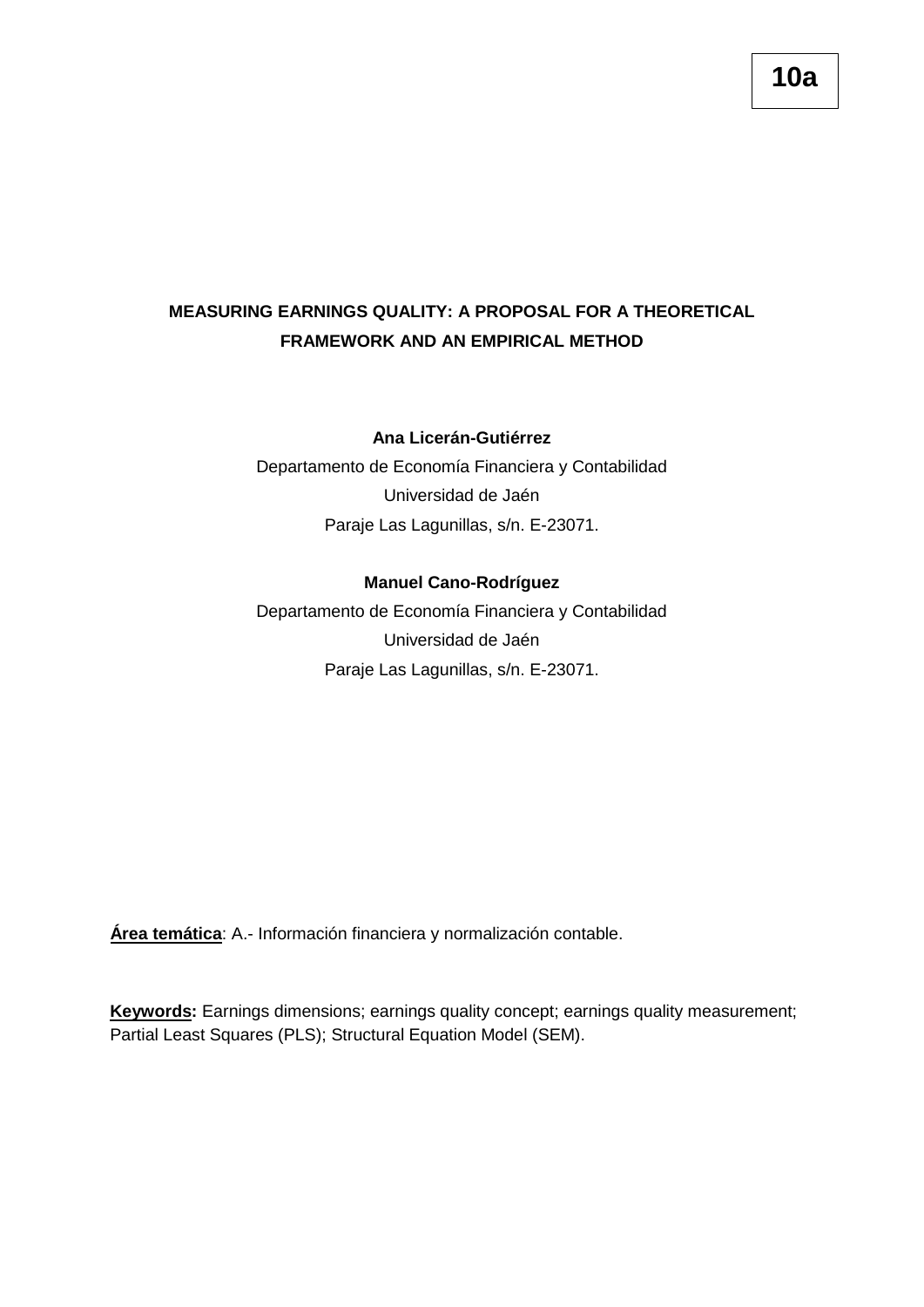## **MEASURING EARNINGS QUALITY: A PROPOSAL FOR A THEORETICAL FRAMEWORK AND AN EMPIRICAL METHOD**

### **Ana Licerán-Gutiérrez**

Departamento de Economía Financiera y Contabilidad Universidad de Jaén Paraje Las Lagunillas, s/n. E-23071.

### **Manuel Cano-Rodríguez**

Departamento de Economía Financiera y Contabilidad Universidad de Jaén Paraje Las Lagunillas, s/n. E-23071.

**Área temática**: A.- Información financiera y normalización contable.

**Keywords:** Earnings dimensions; earnings quality concept; earnings quality measurement; Partial Least Squares (PLS); Structural Equation Model (SEM).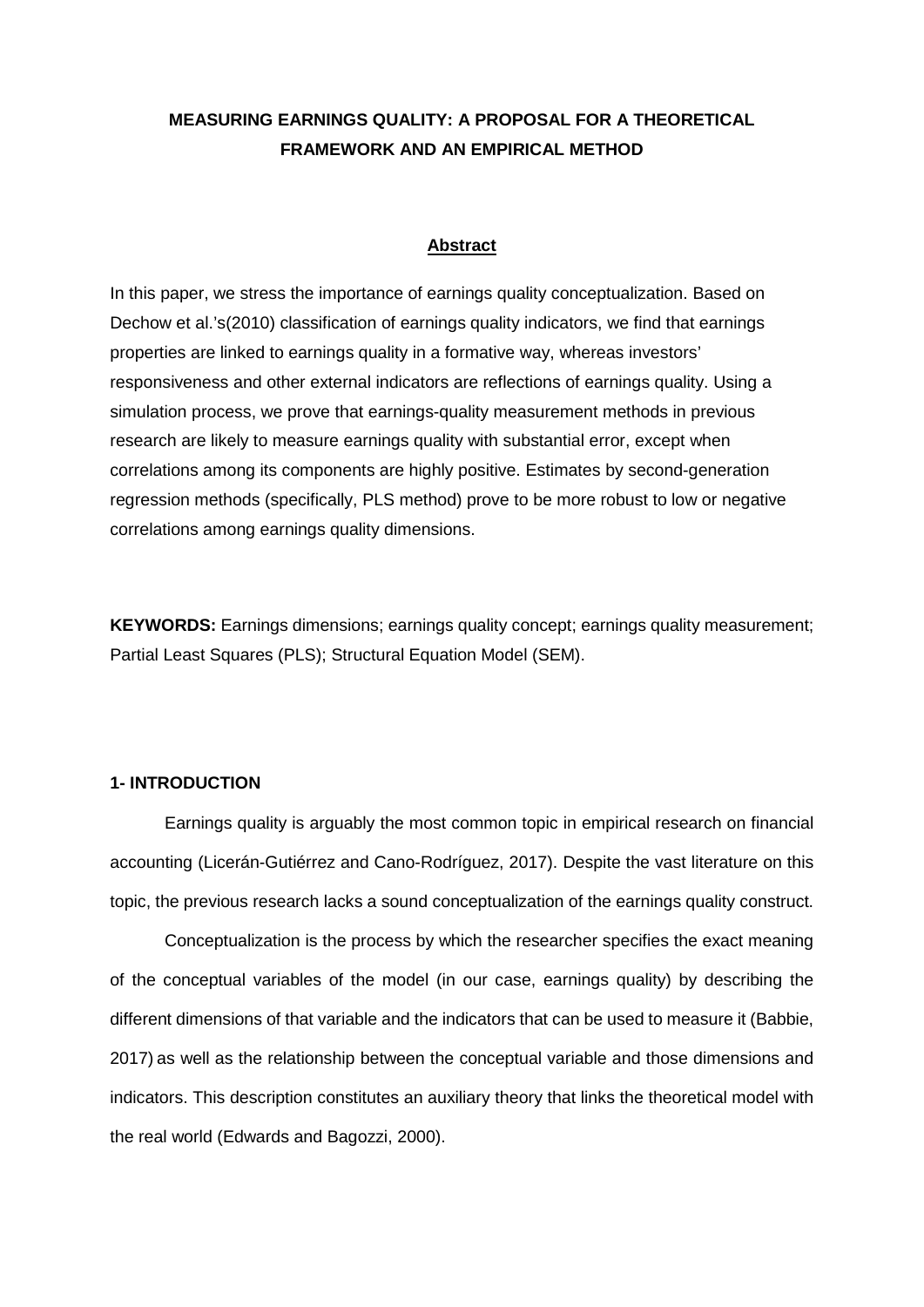## **MEASURING EARNINGS QUALITY: A PROPOSAL FOR A THEORETICAL FRAMEWORK AND AN EMPIRICAL METHOD**

### **Abstract**

In this paper, we stress the importance of earnings quality conceptualization. Based on Dechow et al.'s(2010) classification of earnings quality indicators, we find that earnings properties are linked to earnings quality in a formative way, whereas investors' responsiveness and other external indicators are reflections of earnings quality. Using a simulation process, we prove that earnings-quality measurement methods in previous research are likely to measure earnings quality with substantial error, except when correlations among its components are highly positive. Estimates by second-generation regression methods (specifically, PLS method) prove to be more robust to low or negative correlations among earnings quality dimensions.

**KEYWORDS:** Earnings dimensions; earnings quality concept; earnings quality measurement; Partial Least Squares (PLS); Structural Equation Model (SEM).

### **1- INTRODUCTION**

Earnings quality is arguably the most common topic in empirical research on financial accounting (Licerán-Gutiérrez and Cano-Rodríguez, 2017). Despite the vast literature on this topic, the previous research lacks a sound conceptualization of the earnings quality construct.

Conceptualization is the process by which the researcher specifies the exact meaning of the conceptual variables of the model (in our case, earnings quality) by describing the different dimensions of that variable and the indicators that can be used to measure it (Babbie, 2017) as well as the relationship between the conceptual variable and those dimensions and indicators. This description constitutes an auxiliary theory that links the theoretical model with the real world (Edwards and Bagozzi, 2000).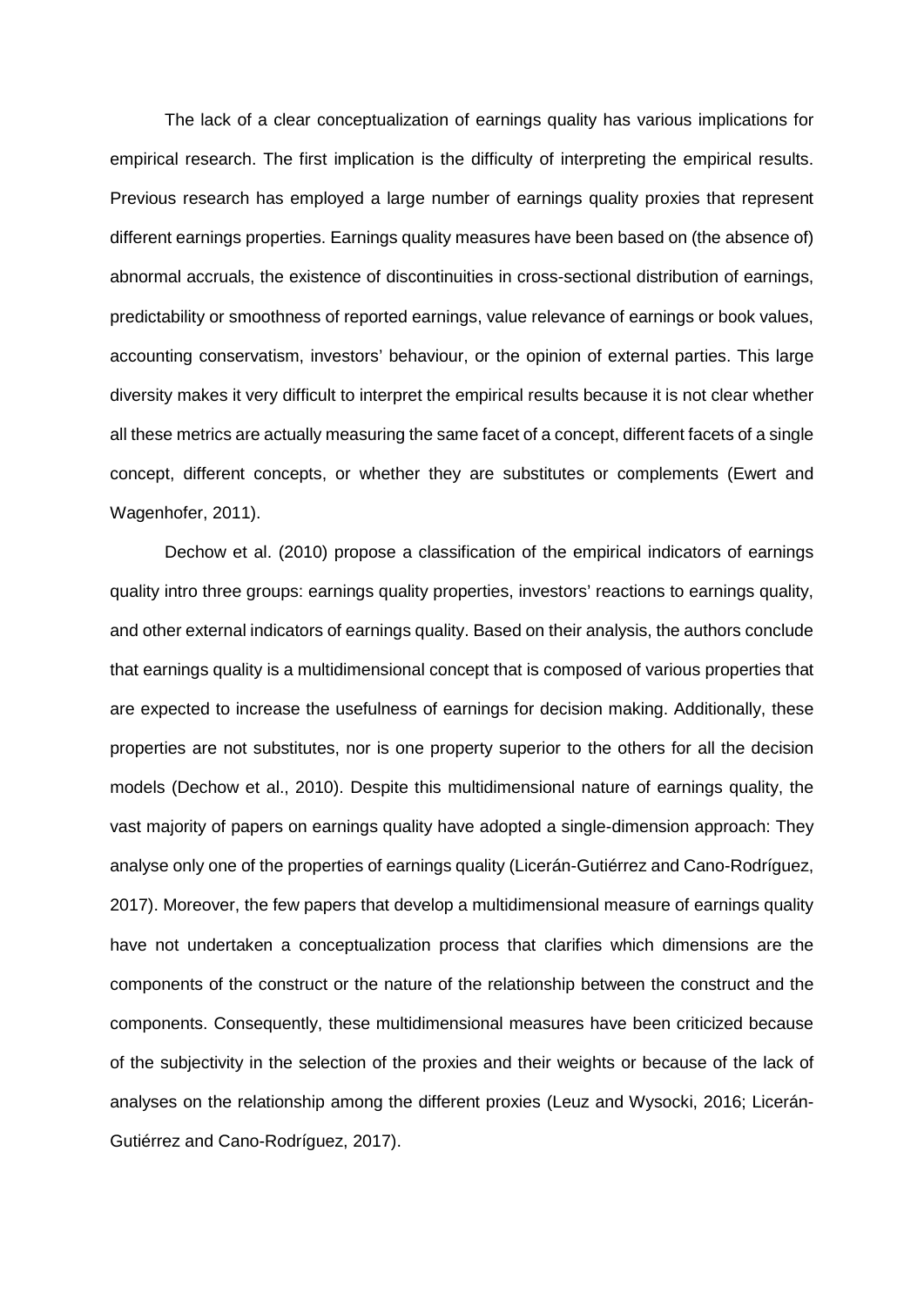The lack of a clear conceptualization of earnings quality has various implications for empirical research. The first implication is the difficulty of interpreting the empirical results. Previous research has employed a large number of earnings quality proxies that represent different earnings properties. Earnings quality measures have been based on (the absence of) abnormal accruals, the existence of discontinuities in cross-sectional distribution of earnings, predictability or smoothness of reported earnings, value relevance of earnings or book values, accounting conservatism, investors' behaviour, or the opinion of external parties. This large diversity makes it very difficult to interpret the empirical results because it is not clear whether all these metrics are actually measuring the same facet of a concept, different facets of a single concept, different concepts, or whether they are substitutes or complements (Ewert and Wagenhofer, 2011).

Dechow et al. (2010) propose a classification of the empirical indicators of earnings quality intro three groups: earnings quality properties, investors' reactions to earnings quality, and other external indicators of earnings quality. Based on their analysis, the authors conclude that earnings quality is a multidimensional concept that is composed of various properties that are expected to increase the usefulness of earnings for decision making. Additionally, these properties are not substitutes, nor is one property superior to the others for all the decision models (Dechow et al., 2010). Despite this multidimensional nature of earnings quality, the vast majority of papers on earnings quality have adopted a single-dimension approach: They analyse only one of the properties of earnings quality (Licerán-Gutiérrez and Cano-Rodríguez, 2017). Moreover, the few papers that develop a multidimensional measure of earnings quality have not undertaken a conceptualization process that clarifies which dimensions are the components of the construct or the nature of the relationship between the construct and the components. Consequently, these multidimensional measures have been criticized because of the subjectivity in the selection of the proxies and their weights or because of the lack of analyses on the relationship among the different proxies (Leuz and Wysocki, 2016; Licerán-Gutiérrez and Cano-Rodríguez, 2017).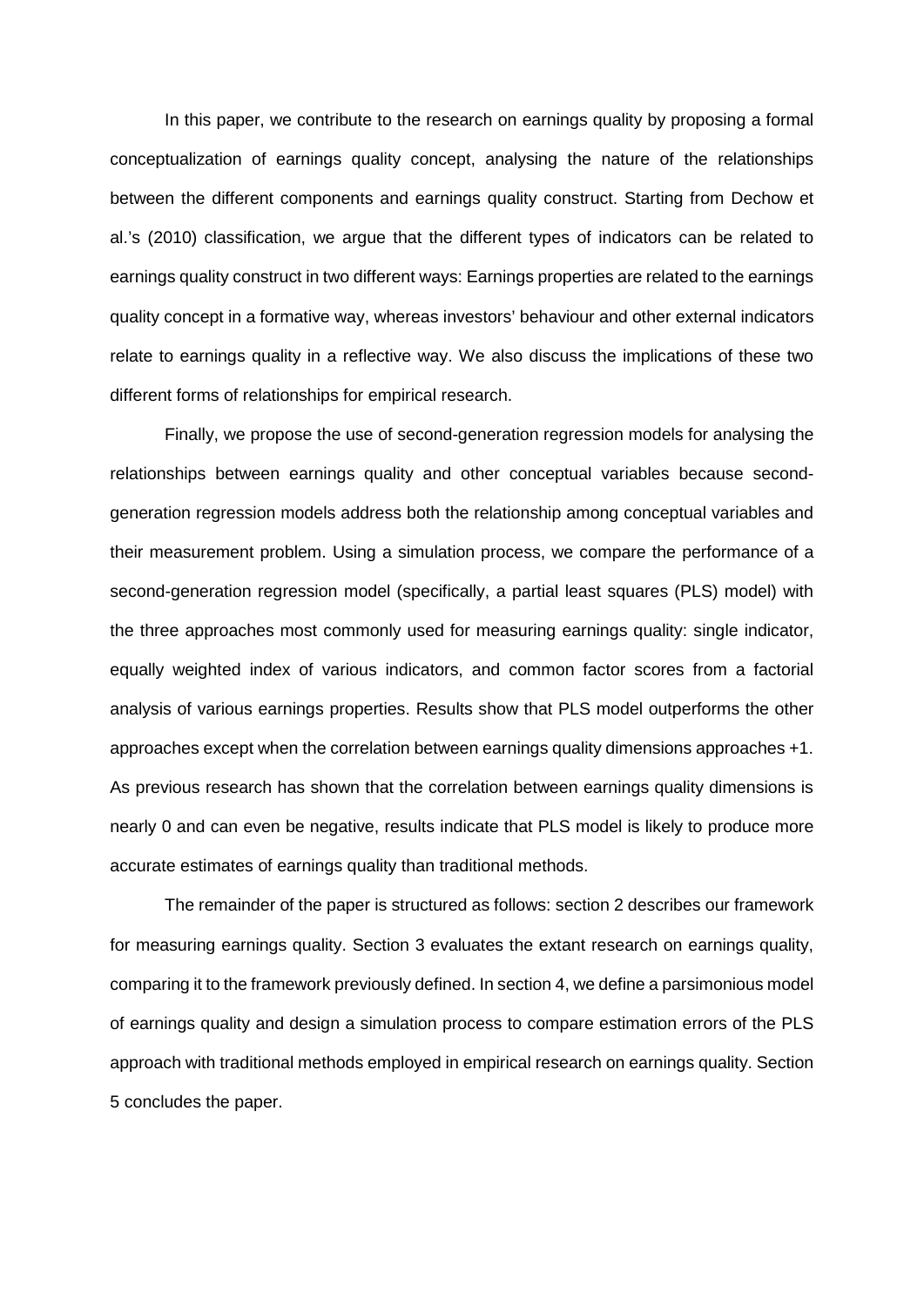In this paper, we contribute to the research on earnings quality by proposing a formal conceptualization of earnings quality concept, analysing the nature of the relationships between the different components and earnings quality construct. Starting from Dechow et al.'s (2010) classification, we argue that the different types of indicators can be related to earnings quality construct in two different ways: Earnings properties are related to the earnings quality concept in a formative way, whereas investors' behaviour and other external indicators relate to earnings quality in a reflective way. We also discuss the implications of these two different forms of relationships for empirical research.

Finally, we propose the use of second-generation regression models for analysing the relationships between earnings quality and other conceptual variables because secondgeneration regression models address both the relationship among conceptual variables and their measurement problem. Using a simulation process, we compare the performance of a second-generation regression model (specifically, a partial least squares (PLS) model) with the three approaches most commonly used for measuring earnings quality: single indicator, equally weighted index of various indicators, and common factor scores from a factorial analysis of various earnings properties. Results show that PLS model outperforms the other approaches except when the correlation between earnings quality dimensions approaches +1. As previous research has shown that the correlation between earnings quality dimensions is nearly 0 and can even be negative, results indicate that PLS model is likely to produce more accurate estimates of earnings quality than traditional methods.

The remainder of the paper is structured as follows: section 2 describes our framework for measuring earnings quality. Section 3 evaluates the extant research on earnings quality, comparing it to the framework previously defined. In section 4, we define a parsimonious model of earnings quality and design a simulation process to compare estimation errors of the PLS approach with traditional methods employed in empirical research on earnings quality. Section 5 concludes the paper.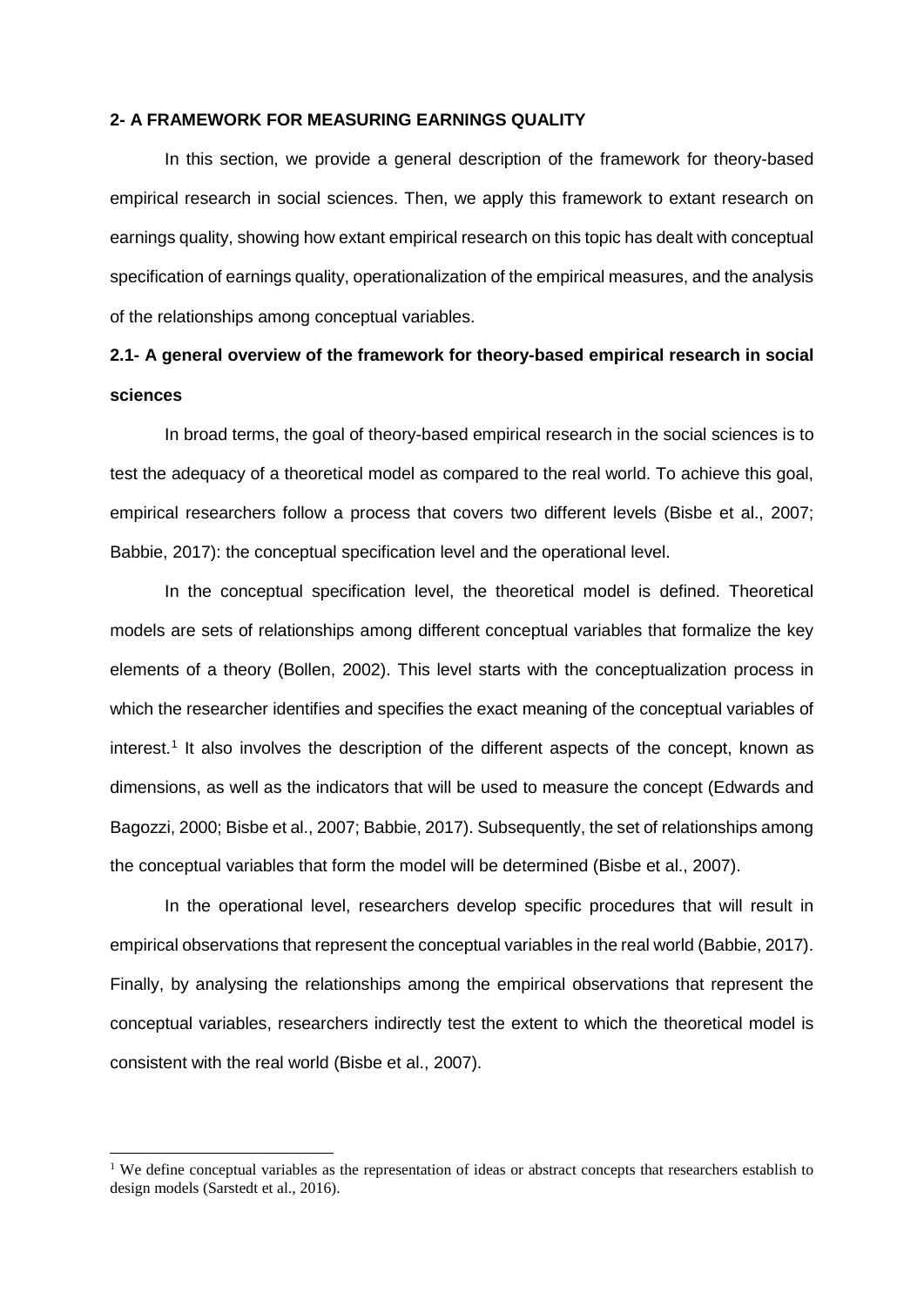### **2- A FRAMEWORK FOR MEASURING EARNINGS QUALITY**

In this section, we provide a general description of the framework for theory-based empirical research in social sciences. Then, we apply this framework to extant research on earnings quality, showing how extant empirical research on this topic has dealt with conceptual specification of earnings quality, operationalization of the empirical measures, and the analysis of the relationships among conceptual variables.

# **2.1- A general overview of the framework for theory-based empirical research in social sciences**

In broad terms, the goal of theory-based empirical research in the social sciences is to test the adequacy of a theoretical model as compared to the real world. To achieve this goal, empirical researchers follow a process that covers two different levels (Bisbe et al., 2007; Babbie, 2017): the conceptual specification level and the operational level.

In the conceptual specification level, the theoretical model is defined. Theoretical models are sets of relationships among different conceptual variables that formalize the key elements of a theory (Bollen, 2002). This level starts with the conceptualization process in which the researcher identifies and specifies the exact meaning of the conceptual variables of interest.<sup>[1](#page-4-0)</sup> It also involves the description of the different aspects of the concept, known as dimensions, as well as the indicators that will be used to measure the concept (Edwards and Bagozzi, 2000; Bisbe et al., 2007; Babbie, 2017). Subsequently, the set of relationships among the conceptual variables that form the model will be determined (Bisbe et al., 2007).

In the operational level, researchers develop specific procedures that will result in empirical observations that represent the conceptual variables in the real world (Babbie, 2017). Finally, by analysing the relationships among the empirical observations that represent the conceptual variables, researchers indirectly test the extent to which the theoretical model is consistent with the real world (Bisbe et al., 2007).

<span id="page-4-0"></span><sup>&</sup>lt;sup>1</sup> We define conceptual variables as the representation of ideas or abstract concepts that researchers establish to design models (Sarstedt et al., 2016).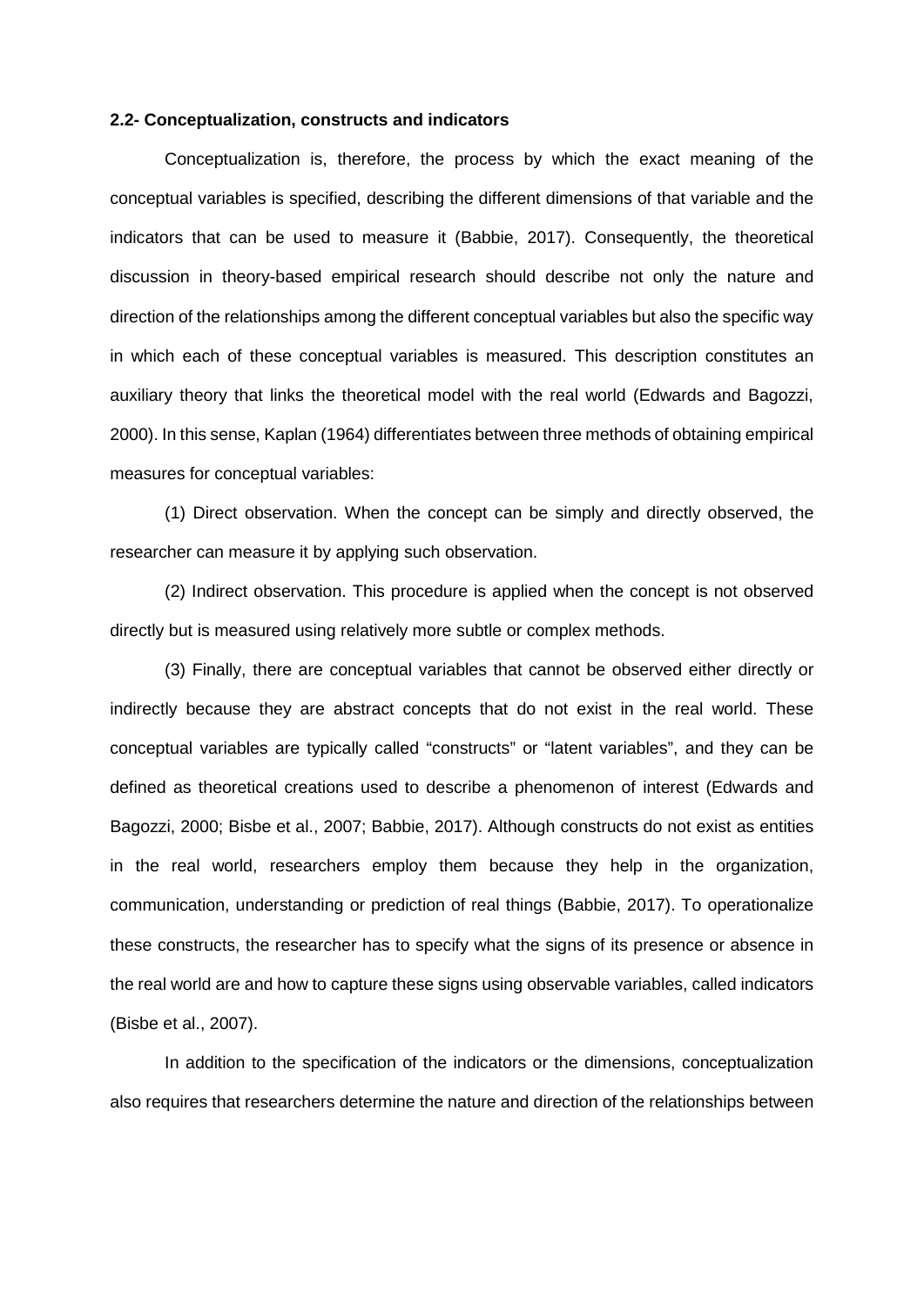### **2.2- Conceptualization, constructs and indicators**

Conceptualization is, therefore, the process by which the exact meaning of the conceptual variables is specified, describing the different dimensions of that variable and the indicators that can be used to measure it (Babbie, 2017). Consequently, the theoretical discussion in theory-based empirical research should describe not only the nature and direction of the relationships among the different conceptual variables but also the specific way in which each of these conceptual variables is measured. This description constitutes an auxiliary theory that links the theoretical model with the real world (Edwards and Bagozzi, 2000). In this sense, Kaplan (1964) differentiates between three methods of obtaining empirical measures for conceptual variables:

(1) Direct observation. When the concept can be simply and directly observed, the researcher can measure it by applying such observation.

(2) Indirect observation. This procedure is applied when the concept is not observed directly but is measured using relatively more subtle or complex methods.

(3) Finally, there are conceptual variables that cannot be observed either directly or indirectly because they are abstract concepts that do not exist in the real world. These conceptual variables are typically called "constructs" or "latent variables", and they can be defined as theoretical creations used to describe a phenomenon of interest (Edwards and Bagozzi, 2000; Bisbe et al., 2007; Babbie, 2017). Although constructs do not exist as entities in the real world, researchers employ them because they help in the organization, communication, understanding or prediction of real things (Babbie, 2017). To operationalize these constructs, the researcher has to specify what the signs of its presence or absence in the real world are and how to capture these signs using observable variables, called indicators (Bisbe et al., 2007).

In addition to the specification of the indicators or the dimensions, conceptualization also requires that researchers determine the nature and direction of the relationships between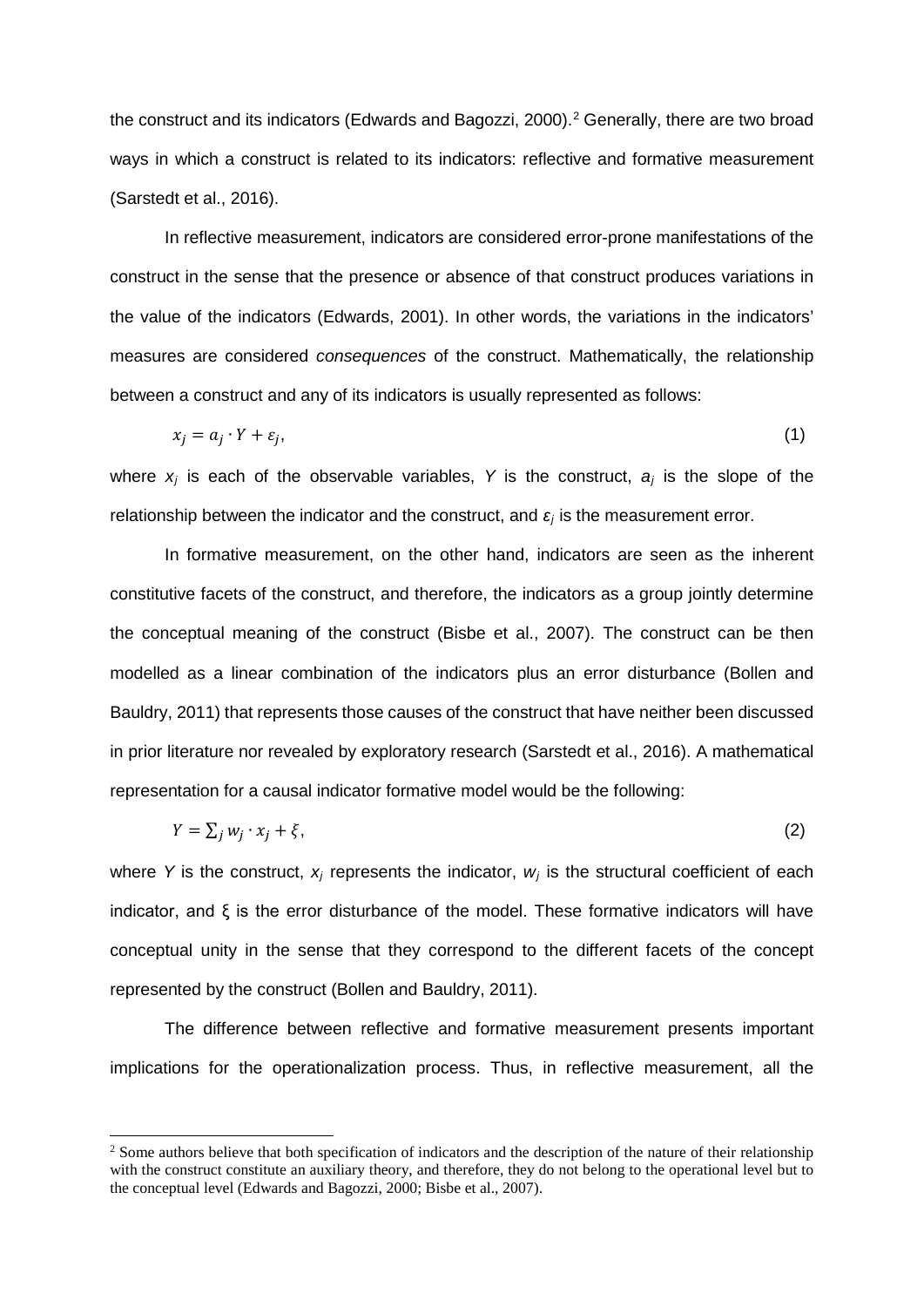the construct and its indicators (Edwards and Bagozzi, 2000).<sup>2</sup> Generally, there are two broad ways in which a construct is related to its indicators: reflective and formative measurement (Sarstedt et al., 2016).

In reflective measurement, indicators are considered error-prone manifestations of the construct in the sense that the presence or absence of that construct produces variations in the value of the indicators (Edwards, 2001). In other words, the variations in the indicators' measures are considered *consequences* of the construct. Mathematically, the relationship between a construct and any of its indicators is usually represented as follows:

$$
x_j = a_j \cdot Y + \varepsilon_j,\tag{1}
$$

where  $x_j$  is each of the observable variables, Y is the construct,  $a_j$  is the slope of the relationship between the indicator and the construct, and *ε<sup>j</sup>* is the measurement error.

In formative measurement, on the other hand, indicators are seen as the inherent constitutive facets of the construct, and therefore, the indicators as a group jointly determine the conceptual meaning of the construct (Bisbe et al., 2007). The construct can be then modelled as a linear combination of the indicators plus an error disturbance (Bollen and Bauldry, 2011) that represents those causes of the construct that have neither been discussed in prior literature nor revealed by exploratory research (Sarstedt et al., 2016). A mathematical representation for a causal indicator formative model would be the following:

$$
Y = \sum_j w_j \cdot x_j + \xi,\tag{2}
$$

where *Y* is the construct,  $x_j$  represents the indicator,  $w_j$  is the structural coefficient of each indicator, and ξ is the error disturbance of the model. These formative indicators will have conceptual unity in the sense that they correspond to the different facets of the concept represented by the construct (Bollen and Bauldry, 2011).

The difference between reflective and formative measurement presents important implications for the operationalization process. Thus, in reflective measurement, all the

<span id="page-6-0"></span><sup>&</sup>lt;sup>2</sup> Some authors believe that both specification of indicators and the description of the nature of their relationship with the construct constitute an auxiliary theory, and therefore, they do not belong to the operational level but to the conceptual level (Edwards and Bagozzi, 2000; Bisbe et al., 2007).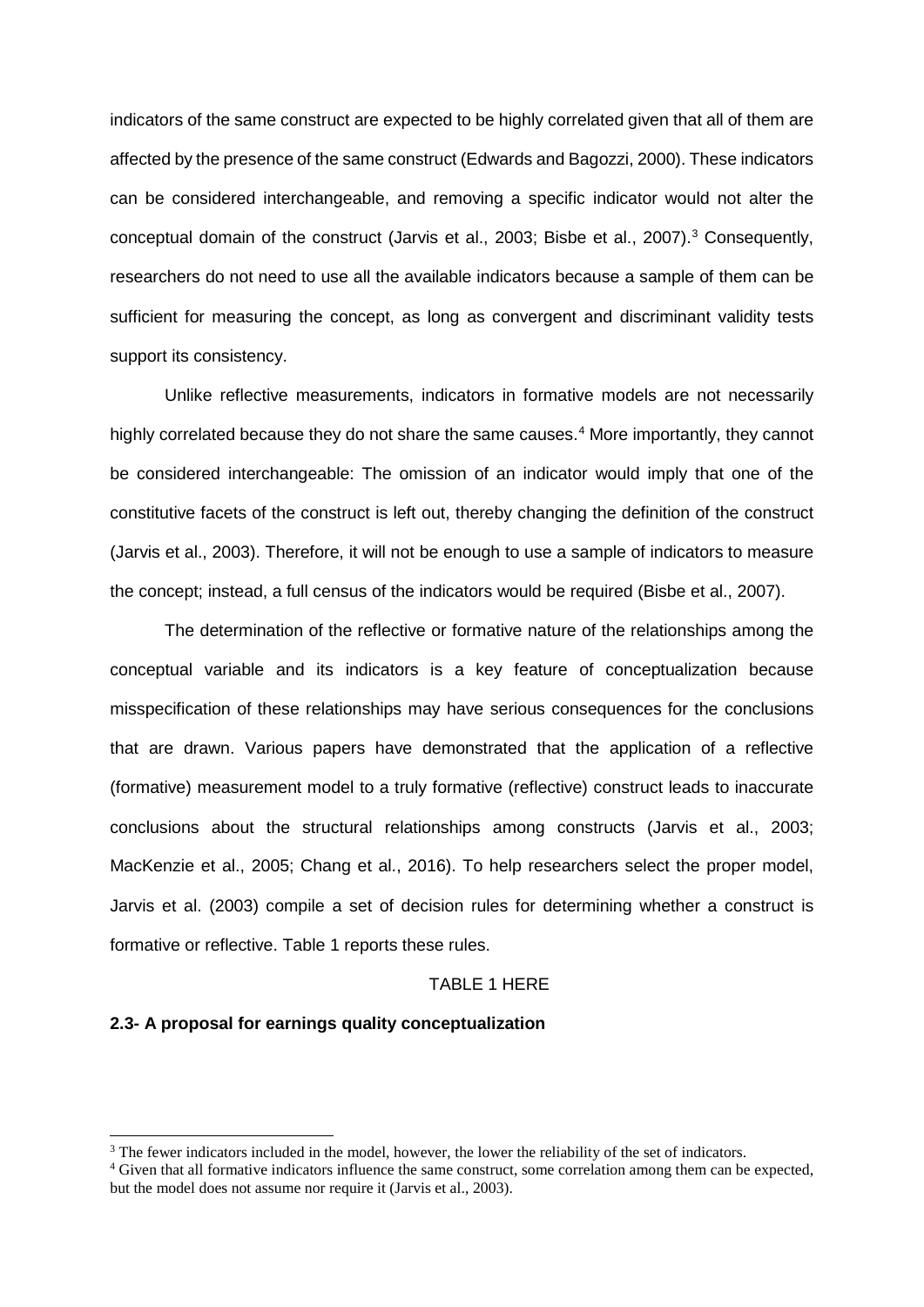indicators of the same construct are expected to be highly correlated given that all of them are affected by the presence of the same construct (Edwards and Bagozzi, 2000). These indicators can be considered interchangeable, and removing a specific indicator would not alter the conceptual domain of the construct (Jarvis et al., 200[3](#page-7-0); Bisbe et al., 2007).<sup>3</sup> Consequently, researchers do not need to use all the available indicators because a sample of them can be sufficient for measuring the concept, as long as convergent and discriminant validity tests support its consistency.

Unlike reflective measurements, indicators in formative models are not necessarily highly correlated because they do not share the same causes.<sup>[4](#page-7-1)</sup> More importantly, they cannot be considered interchangeable: The omission of an indicator would imply that one of the constitutive facets of the construct is left out, thereby changing the definition of the construct (Jarvis et al., 2003). Therefore, it will not be enough to use a sample of indicators to measure the concept; instead, a full census of the indicators would be required (Bisbe et al., 2007).

The determination of the reflective or formative nature of the relationships among the conceptual variable and its indicators is a key feature of conceptualization because misspecification of these relationships may have serious consequences for the conclusions that are drawn. Various papers have demonstrated that the application of a reflective (formative) measurement model to a truly formative (reflective) construct leads to inaccurate conclusions about the structural relationships among constructs (Jarvis et al., 2003; MacKenzie et al., 2005; Chang et al., 2016). To help researchers select the proper model, Jarvis et al. (2003) compile a set of decision rules for determining whether a construct is formative or reflective. Table 1 reports these rules.

#### TABLE 1 HERE

### **2.3- A proposal for earnings quality conceptualization**

<span id="page-7-0"></span><sup>&</sup>lt;sup>3</sup> The fewer indicators included in the model, however, the lower the reliability of the set of indicators.<br><sup>4</sup> Given that all formative indicators influence the same construct, some correlation among them can be expected

<span id="page-7-1"></span>but the model does not assume nor require it (Jarvis et al., 2003).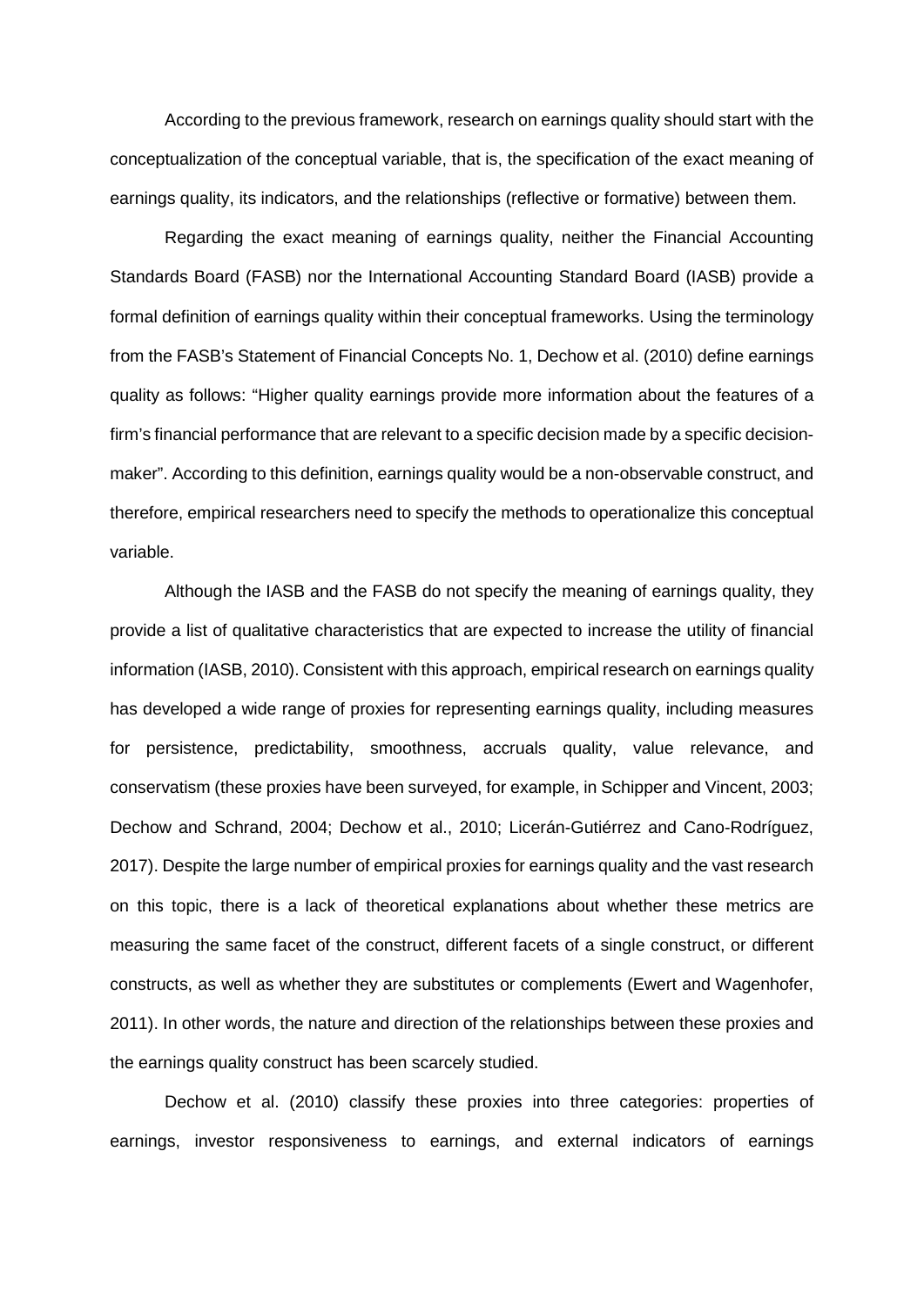According to the previous framework, research on earnings quality should start with the conceptualization of the conceptual variable, that is, the specification of the exact meaning of earnings quality, its indicators, and the relationships (reflective or formative) between them.

Regarding the exact meaning of earnings quality, neither the Financial Accounting Standards Board (FASB) nor the International Accounting Standard Board (IASB) provide a formal definition of earnings quality within their conceptual frameworks. Using the terminology from the FASB's Statement of Financial Concepts No. 1, Dechow et al. (2010) define earnings quality as follows: "Higher quality earnings provide more information about the features of a firm's financial performance that are relevant to a specific decision made by a specific decisionmaker". According to this definition, earnings quality would be a non-observable construct, and therefore, empirical researchers need to specify the methods to operationalize this conceptual variable.

Although the IASB and the FASB do not specify the meaning of earnings quality, they provide a list of qualitative characteristics that are expected to increase the utility of financial information (IASB, 2010). Consistent with this approach, empirical research on earnings quality has developed a wide range of proxies for representing earnings quality, including measures for persistence, predictability, smoothness, accruals quality, value relevance, and conservatism (these proxies have been surveyed, for example, in Schipper and Vincent, 2003; Dechow and Schrand, 2004; Dechow et al., 2010; Licerán-Gutiérrez and Cano-Rodríguez, 2017). Despite the large number of empirical proxies for earnings quality and the vast research on this topic, there is a lack of theoretical explanations about whether these metrics are measuring the same facet of the construct, different facets of a single construct, or different constructs, as well as whether they are substitutes or complements (Ewert and Wagenhofer, 2011). In other words, the nature and direction of the relationships between these proxies and the earnings quality construct has been scarcely studied.

Dechow et al. (2010) classify these proxies into three categories: properties of earnings, investor responsiveness to earnings, and external indicators of earnings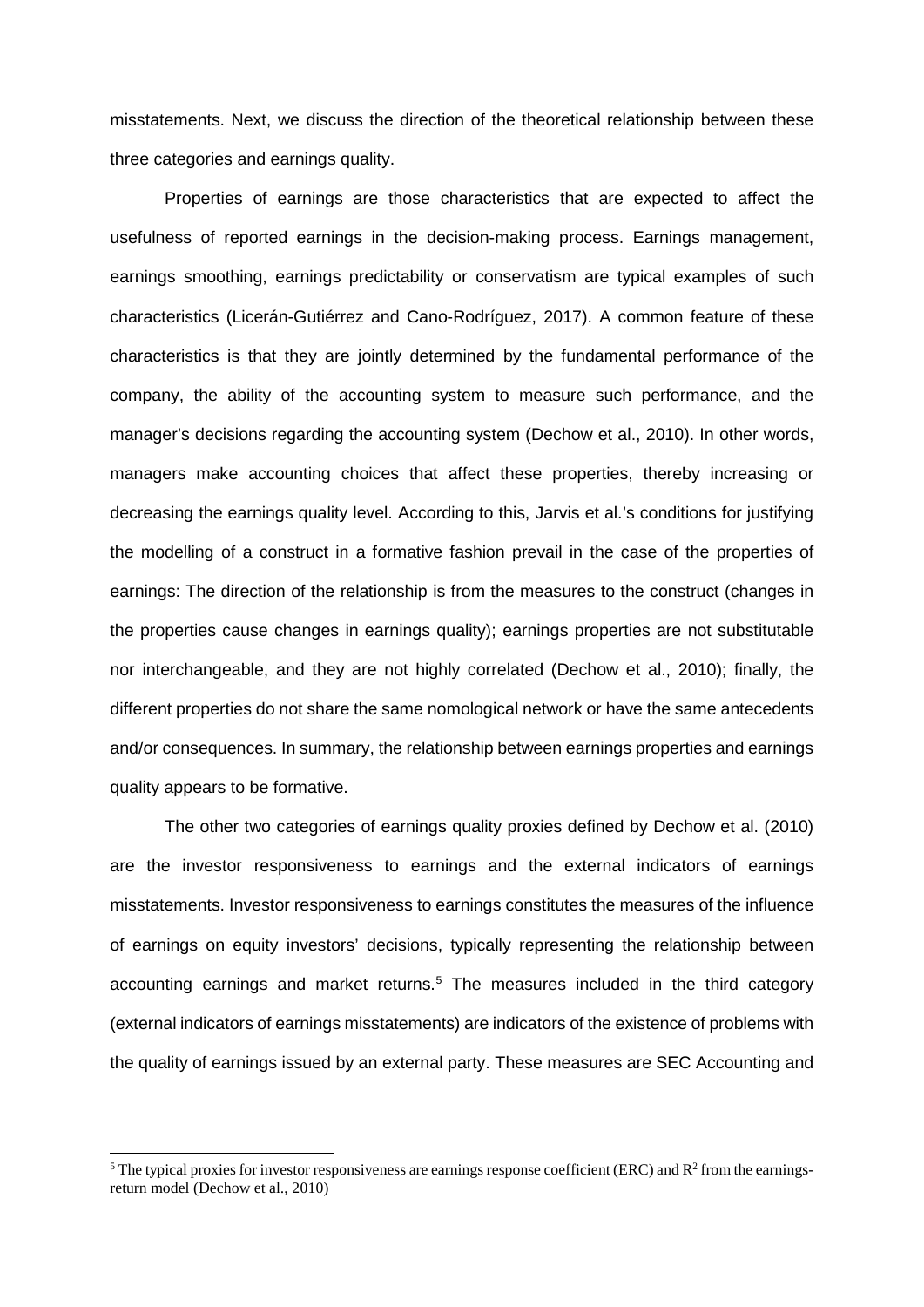misstatements. Next, we discuss the direction of the theoretical relationship between these three categories and earnings quality.

Properties of earnings are those characteristics that are expected to affect the usefulness of reported earnings in the decision-making process. Earnings management, earnings smoothing, earnings predictability or conservatism are typical examples of such characteristics (Licerán-Gutiérrez and Cano-Rodríguez, 2017). A common feature of these characteristics is that they are jointly determined by the fundamental performance of the company, the ability of the accounting system to measure such performance, and the manager's decisions regarding the accounting system (Dechow et al., 2010). In other words, managers make accounting choices that affect these properties, thereby increasing or decreasing the earnings quality level. According to this, Jarvis et al.'s conditions for justifying the modelling of a construct in a formative fashion prevail in the case of the properties of earnings: The direction of the relationship is from the measures to the construct (changes in the properties cause changes in earnings quality); earnings properties are not substitutable nor interchangeable, and they are not highly correlated (Dechow et al., 2010); finally, the different properties do not share the same nomological network or have the same antecedents and/or consequences. In summary, the relationship between earnings properties and earnings quality appears to be formative.

The other two categories of earnings quality proxies defined by Dechow et al. (2010) are the investor responsiveness to earnings and the external indicators of earnings misstatements. Investor responsiveness to earnings constitutes the measures of the influence of earnings on equity investors' decisions, typically representing the relationship between accounting earnings and market returns.<sup>[5](#page-9-0)</sup> The measures included in the third category (external indicators of earnings misstatements) are indicators of the existence of problems with the quality of earnings issued by an external party. These measures are SEC Accounting and

<span id="page-9-0"></span> $<sup>5</sup>$  The typical proxies for investor responsiveness are earnings response coefficient (ERC) and  $R<sup>2</sup>$  from the earnings-</sup> return model (Dechow et al., 2010)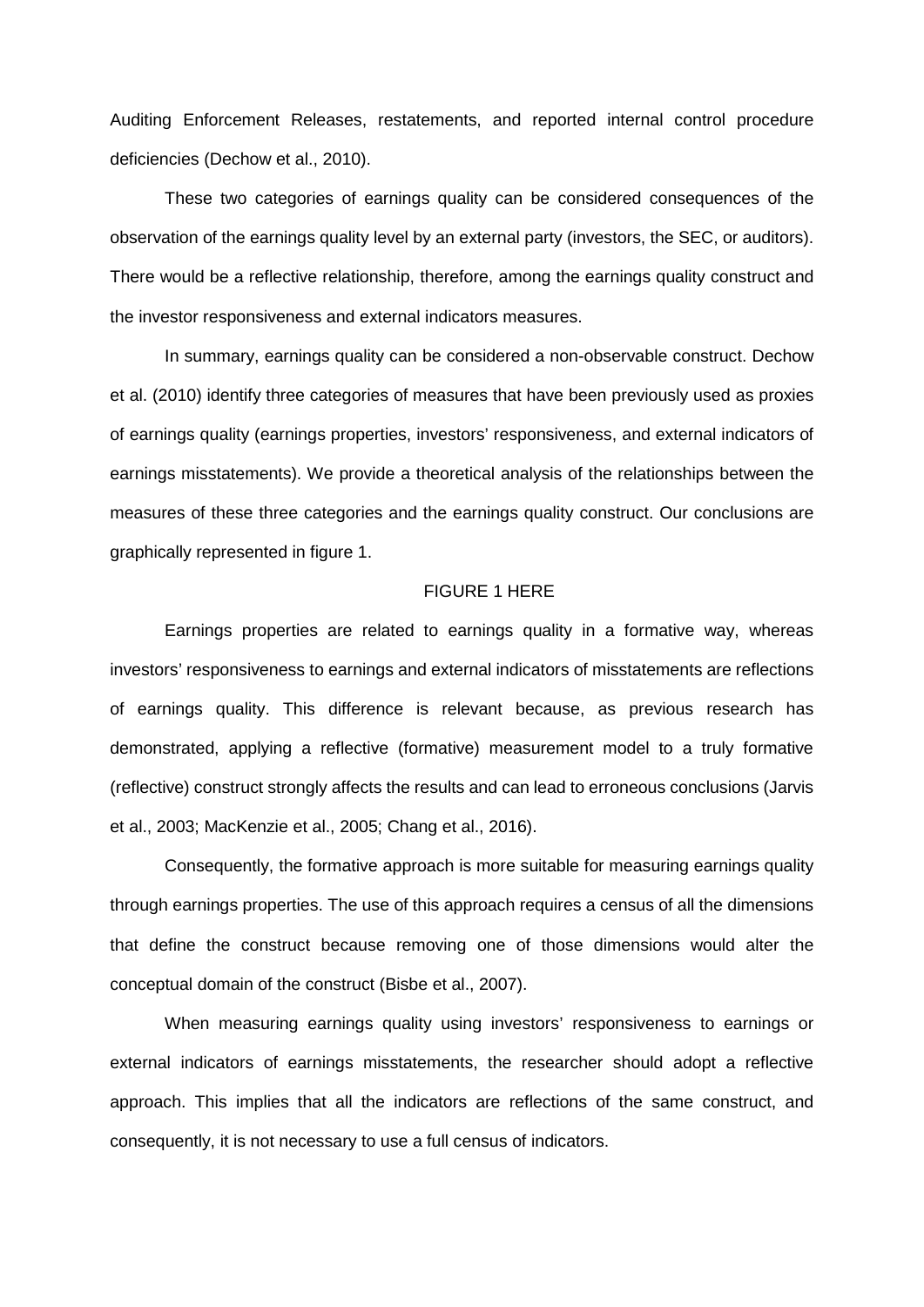Auditing Enforcement Releases, restatements, and reported internal control procedure deficiencies (Dechow et al., 2010).

These two categories of earnings quality can be considered consequences of the observation of the earnings quality level by an external party (investors, the SEC, or auditors). There would be a reflective relationship, therefore, among the earnings quality construct and the investor responsiveness and external indicators measures.

In summary, earnings quality can be considered a non-observable construct. Dechow et al. (2010) identify three categories of measures that have been previously used as proxies of earnings quality (earnings properties, investors' responsiveness, and external indicators of earnings misstatements). We provide a theoretical analysis of the relationships between the measures of these three categories and the earnings quality construct. Our conclusions are graphically represented in figure 1.

### FIGURE 1 HERE

Earnings properties are related to earnings quality in a formative way, whereas investors' responsiveness to earnings and external indicators of misstatements are reflections of earnings quality. This difference is relevant because, as previous research has demonstrated, applying a reflective (formative) measurement model to a truly formative (reflective) construct strongly affects the results and can lead to erroneous conclusions (Jarvis et al., 2003; MacKenzie et al., 2005; Chang et al., 2016).

Consequently, the formative approach is more suitable for measuring earnings quality through earnings properties. The use of this approach requires a census of all the dimensions that define the construct because removing one of those dimensions would alter the conceptual domain of the construct (Bisbe et al., 2007).

When measuring earnings quality using investors' responsiveness to earnings or external indicators of earnings misstatements, the researcher should adopt a reflective approach. This implies that all the indicators are reflections of the same construct, and consequently, it is not necessary to use a full census of indicators.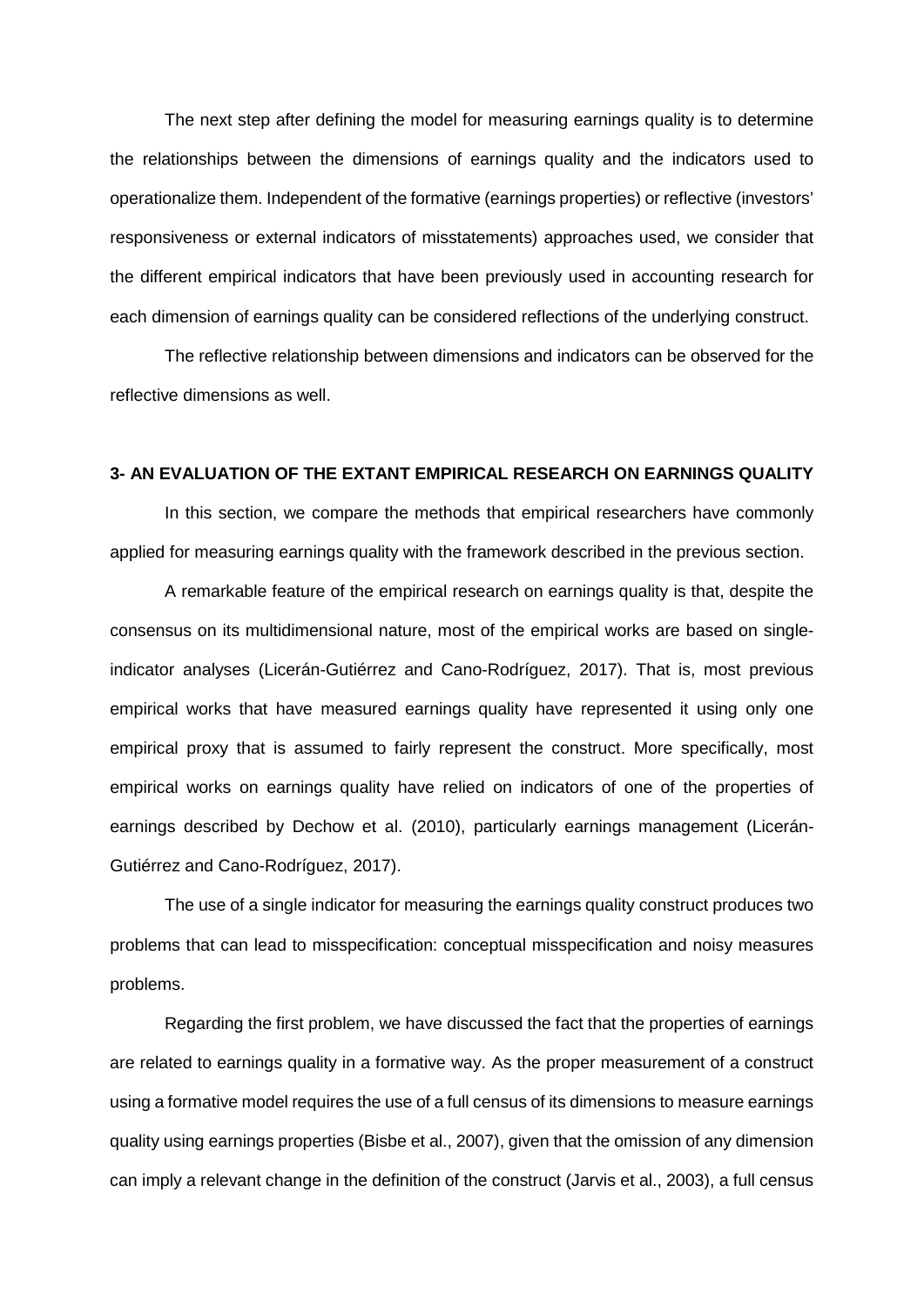The next step after defining the model for measuring earnings quality is to determine the relationships between the dimensions of earnings quality and the indicators used to operationalize them. Independent of the formative (earnings properties) or reflective (investors' responsiveness or external indicators of misstatements) approaches used, we consider that the different empirical indicators that have been previously used in accounting research for each dimension of earnings quality can be considered reflections of the underlying construct.

The reflective relationship between dimensions and indicators can be observed for the reflective dimensions as well.

### **3- AN EVALUATION OF THE EXTANT EMPIRICAL RESEARCH ON EARNINGS QUALITY**

In this section, we compare the methods that empirical researchers have commonly applied for measuring earnings quality with the framework described in the previous section.

A remarkable feature of the empirical research on earnings quality is that, despite the consensus on its multidimensional nature, most of the empirical works are based on singleindicator analyses (Licerán-Gutiérrez and Cano-Rodríguez, 2017). That is, most previous empirical works that have measured earnings quality have represented it using only one empirical proxy that is assumed to fairly represent the construct. More specifically, most empirical works on earnings quality have relied on indicators of one of the properties of earnings described by Dechow et al. (2010), particularly earnings management (Licerán-Gutiérrez and Cano-Rodríguez, 2017).

The use of a single indicator for measuring the earnings quality construct produces two problems that can lead to misspecification: conceptual misspecification and noisy measures problems.

Regarding the first problem, we have discussed the fact that the properties of earnings are related to earnings quality in a formative way. As the proper measurement of a construct using a formative model requires the use of a full census of its dimensions to measure earnings quality using earnings properties (Bisbe et al., 2007), given that the omission of any dimension can imply a relevant change in the definition of the construct (Jarvis et al., 2003), a full census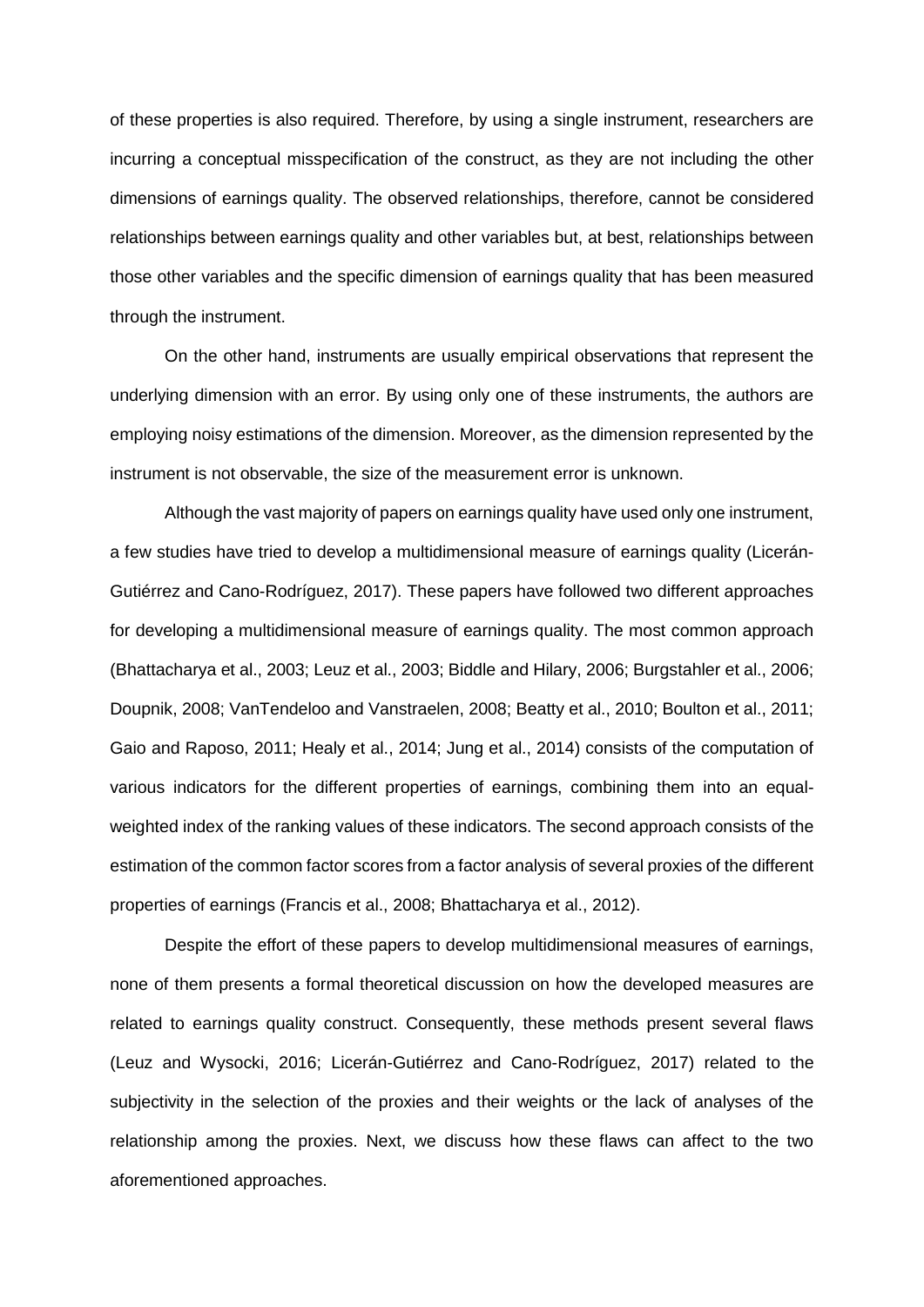of these properties is also required. Therefore, by using a single instrument, researchers are incurring a conceptual misspecification of the construct, as they are not including the other dimensions of earnings quality. The observed relationships, therefore, cannot be considered relationships between earnings quality and other variables but, at best, relationships between those other variables and the specific dimension of earnings quality that has been measured through the instrument.

On the other hand, instruments are usually empirical observations that represent the underlying dimension with an error. By using only one of these instruments, the authors are employing noisy estimations of the dimension. Moreover, as the dimension represented by the instrument is not observable, the size of the measurement error is unknown.

Although the vast majority of papers on earnings quality have used only one instrument, a few studies have tried to develop a multidimensional measure of earnings quality (Licerán-Gutiérrez and Cano-Rodríguez, 2017). These papers have followed two different approaches for developing a multidimensional measure of earnings quality. The most common approach (Bhattacharya et al., 2003; Leuz et al., 2003; Biddle and Hilary, 2006; Burgstahler et al., 2006; Doupnik, 2008; VanTendeloo and Vanstraelen, 2008; Beatty et al., 2010; Boulton et al., 2011; Gaio and Raposo, 2011; Healy et al., 2014; Jung et al., 2014) consists of the computation of various indicators for the different properties of earnings, combining them into an equalweighted index of the ranking values of these indicators. The second approach consists of the estimation of the common factor scores from a factor analysis of several proxies of the different properties of earnings (Francis et al., 2008; Bhattacharya et al., 2012).

Despite the effort of these papers to develop multidimensional measures of earnings, none of them presents a formal theoretical discussion on how the developed measures are related to earnings quality construct. Consequently, these methods present several flaws (Leuz and Wysocki, 2016; Licerán-Gutiérrez and Cano-Rodríguez, 2017) related to the subjectivity in the selection of the proxies and their weights or the lack of analyses of the relationship among the proxies. Next, we discuss how these flaws can affect to the two aforementioned approaches.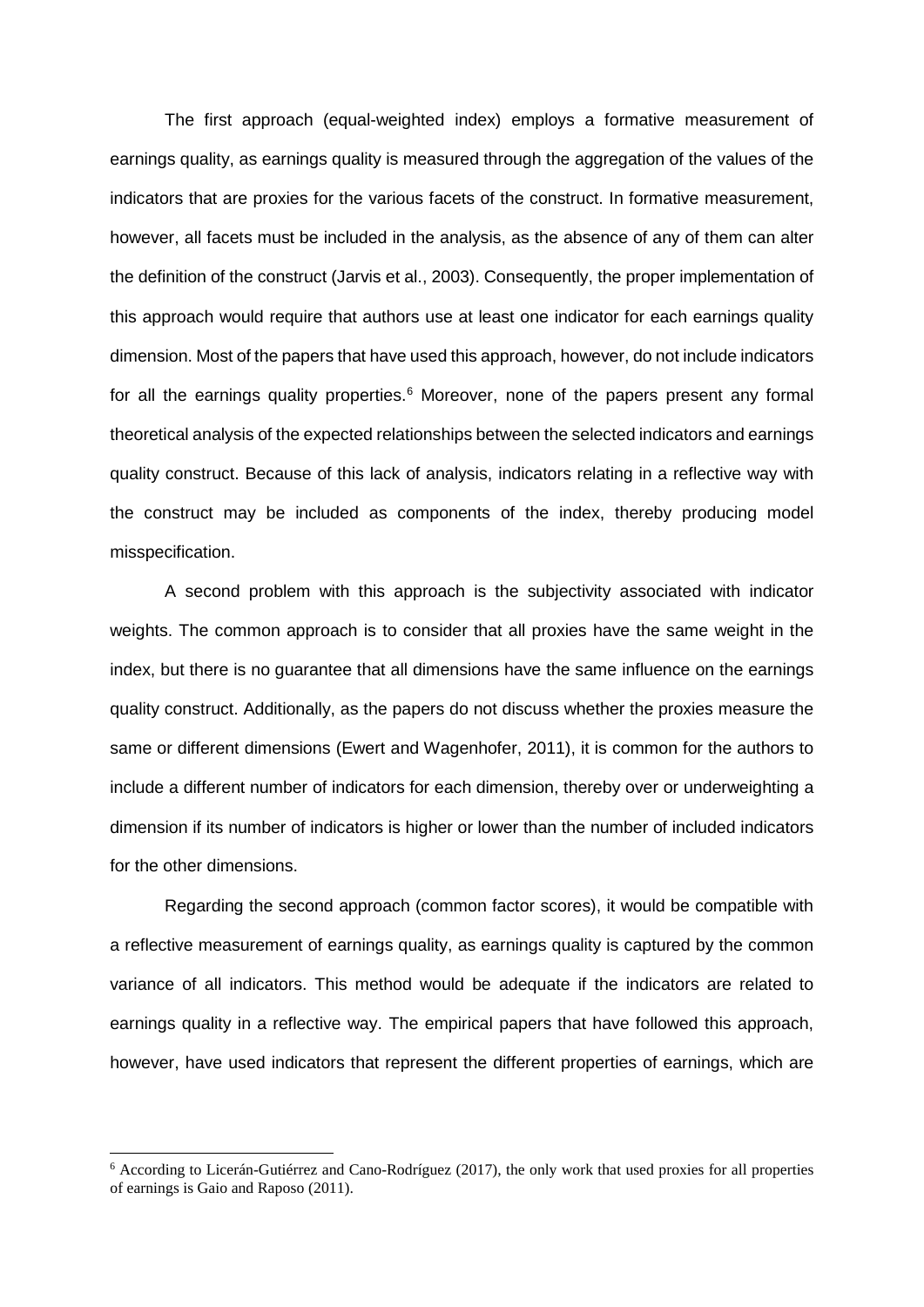The first approach (equal-weighted index) employs a formative measurement of earnings quality, as earnings quality is measured through the aggregation of the values of the indicators that are proxies for the various facets of the construct. In formative measurement, however, all facets must be included in the analysis, as the absence of any of them can alter the definition of the construct (Jarvis et al., 2003). Consequently, the proper implementation of this approach would require that authors use at least one indicator for each earnings quality dimension. Most of the papers that have used this approach, however, do not include indicators for all the earnings quality properties.<sup>[6](#page-13-0)</sup> Moreover, none of the papers present any formal theoretical analysis of the expected relationships between the selected indicators and earnings quality construct. Because of this lack of analysis, indicators relating in a reflective way with the construct may be included as components of the index, thereby producing model misspecification.

A second problem with this approach is the subjectivity associated with indicator weights. The common approach is to consider that all proxies have the same weight in the index, but there is no guarantee that all dimensions have the same influence on the earnings quality construct. Additionally, as the papers do not discuss whether the proxies measure the same or different dimensions (Ewert and Wagenhofer, 2011), it is common for the authors to include a different number of indicators for each dimension, thereby over or underweighting a dimension if its number of indicators is higher or lower than the number of included indicators for the other dimensions.

Regarding the second approach (common factor scores), it would be compatible with a reflective measurement of earnings quality, as earnings quality is captured by the common variance of all indicators. This method would be adequate if the indicators are related to earnings quality in a reflective way. The empirical papers that have followed this approach, however, have used indicators that represent the different properties of earnings, which are

<span id="page-13-0"></span><sup>&</sup>lt;sup>6</sup> According to Licerán-Gutiérrez and Cano-Rodríguez (2017), the only work that used proxies for all properties of earnings is Gaio and Raposo (2011).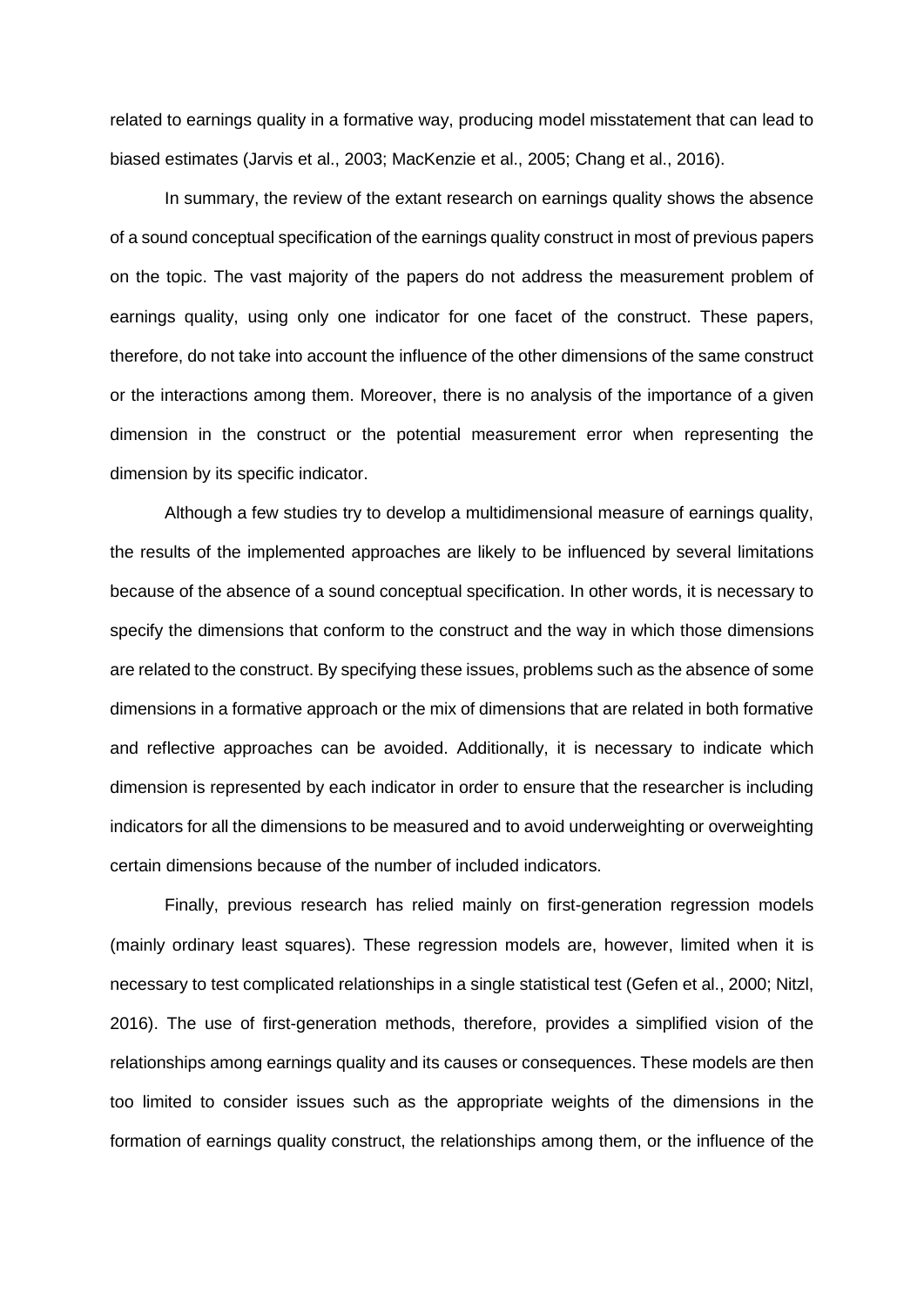related to earnings quality in a formative way, producing model misstatement that can lead to biased estimates (Jarvis et al., 2003; MacKenzie et al., 2005; Chang et al., 2016).

In summary, the review of the extant research on earnings quality shows the absence of a sound conceptual specification of the earnings quality construct in most of previous papers on the topic. The vast majority of the papers do not address the measurement problem of earnings quality, using only one indicator for one facet of the construct. These papers, therefore, do not take into account the influence of the other dimensions of the same construct or the interactions among them. Moreover, there is no analysis of the importance of a given dimension in the construct or the potential measurement error when representing the dimension by its specific indicator.

Although a few studies try to develop a multidimensional measure of earnings quality, the results of the implemented approaches are likely to be influenced by several limitations because of the absence of a sound conceptual specification. In other words, it is necessary to specify the dimensions that conform to the construct and the way in which those dimensions are related to the construct. By specifying these issues, problems such as the absence of some dimensions in a formative approach or the mix of dimensions that are related in both formative and reflective approaches can be avoided. Additionally, it is necessary to indicate which dimension is represented by each indicator in order to ensure that the researcher is including indicators for all the dimensions to be measured and to avoid underweighting or overweighting certain dimensions because of the number of included indicators.

Finally, previous research has relied mainly on first-generation regression models (mainly ordinary least squares). These regression models are, however, limited when it is necessary to test complicated relationships in a single statistical test (Gefen et al., 2000; Nitzl, 2016). The use of first-generation methods, therefore, provides a simplified vision of the relationships among earnings quality and its causes or consequences. These models are then too limited to consider issues such as the appropriate weights of the dimensions in the formation of earnings quality construct, the relationships among them, or the influence of the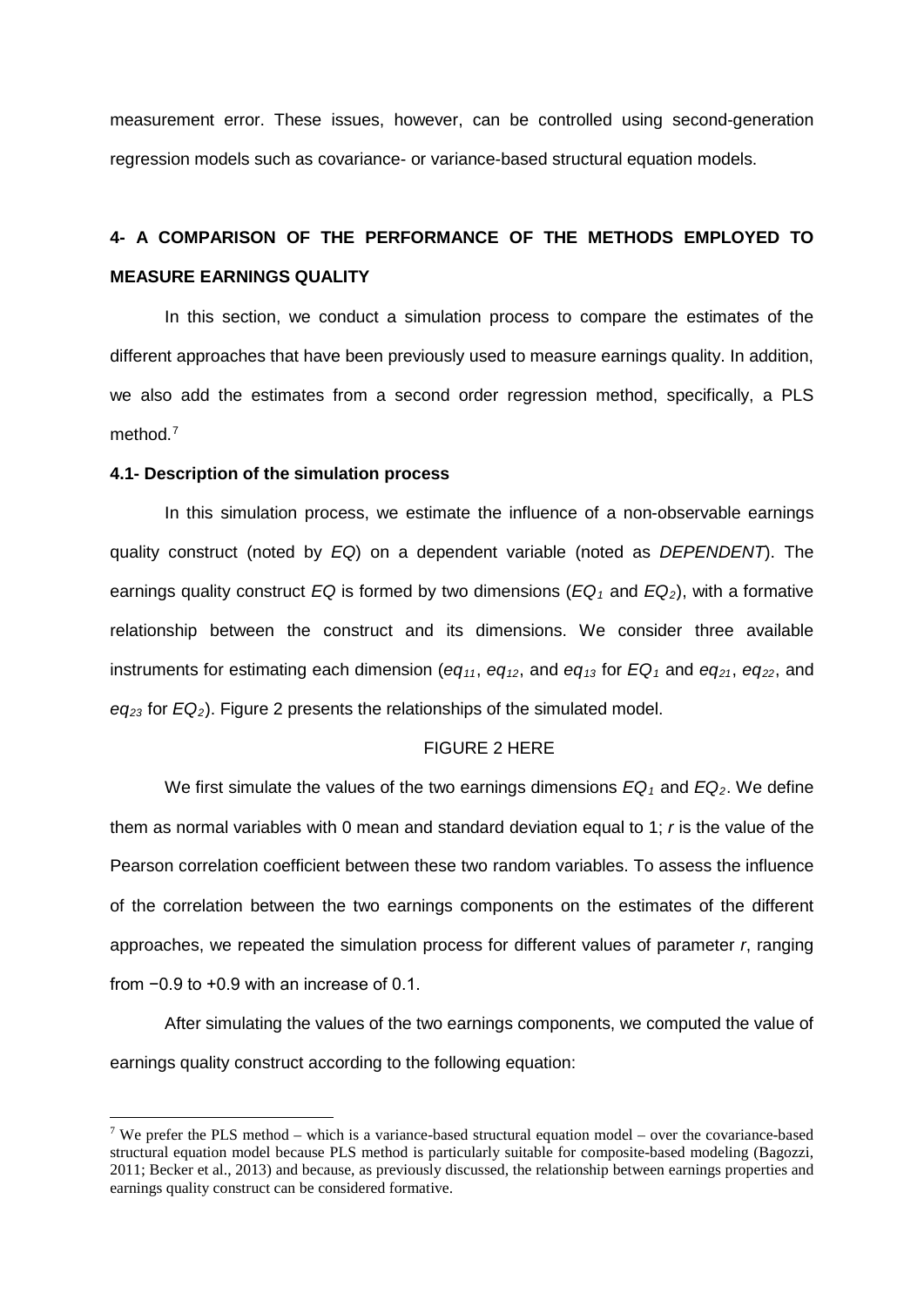measurement error. These issues, however, can be controlled using second-generation regression models such as covariance- or variance-based structural equation models.

# **4- A COMPARISON OF THE PERFORMANCE OF THE METHODS EMPLOYED TO MEASURE EARNINGS QUALITY**

In this section, we conduct a simulation process to compare the estimates of the different approaches that have been previously used to measure earnings quality. In addition, we also add the estimates from a second order regression method, specifically, a PLS method.<sup>[7](#page-15-0)</sup>

### **4.1- Description of the simulation process**

-

In this simulation process, we estimate the influence of a non-observable earnings quality construct (noted by *EQ*) on a dependent variable (noted as *DEPENDENT*). The earnings quality construct *EQ* is formed by two dimensions ( $EQ_1$  and  $EQ_2$ ), with a formative relationship between the construct and its dimensions. We consider three available instruments for estimating each dimension ( $eq_{11}$ ,  $eq_{12}$ , and  $eq_{13}$  for  $EQ_1$  and  $eq_{21}$ ,  $eq_{22}$ , and *eq23* for *EQ2*). Figure 2 presents the relationships of the simulated model.

### FIGURE 2 HERE

We first simulate the values of the two earnings dimensions  $EQ_1$  and  $EQ_2$ . We define them as normal variables with 0 mean and standard deviation equal to 1; *r* is the value of the Pearson correlation coefficient between these two random variables. To assess the influence of the correlation between the two earnings components on the estimates of the different approaches, we repeated the simulation process for different values of parameter *r*, ranging from −0.9 to +0.9 with an increase of 0.1.

After simulating the values of the two earnings components, we computed the value of earnings quality construct according to the following equation:

<span id="page-15-0"></span><sup>&</sup>lt;sup>7</sup> We prefer the PLS method – which is a variance-based structural equation model – over the covariance-based structural equation model because PLS method is particularly suitable for composite-based modeling (Bagozzi, 2011; Becker et al., 2013) and because, as previously discussed, the relationship between earnings properties and earnings quality construct can be considered formative.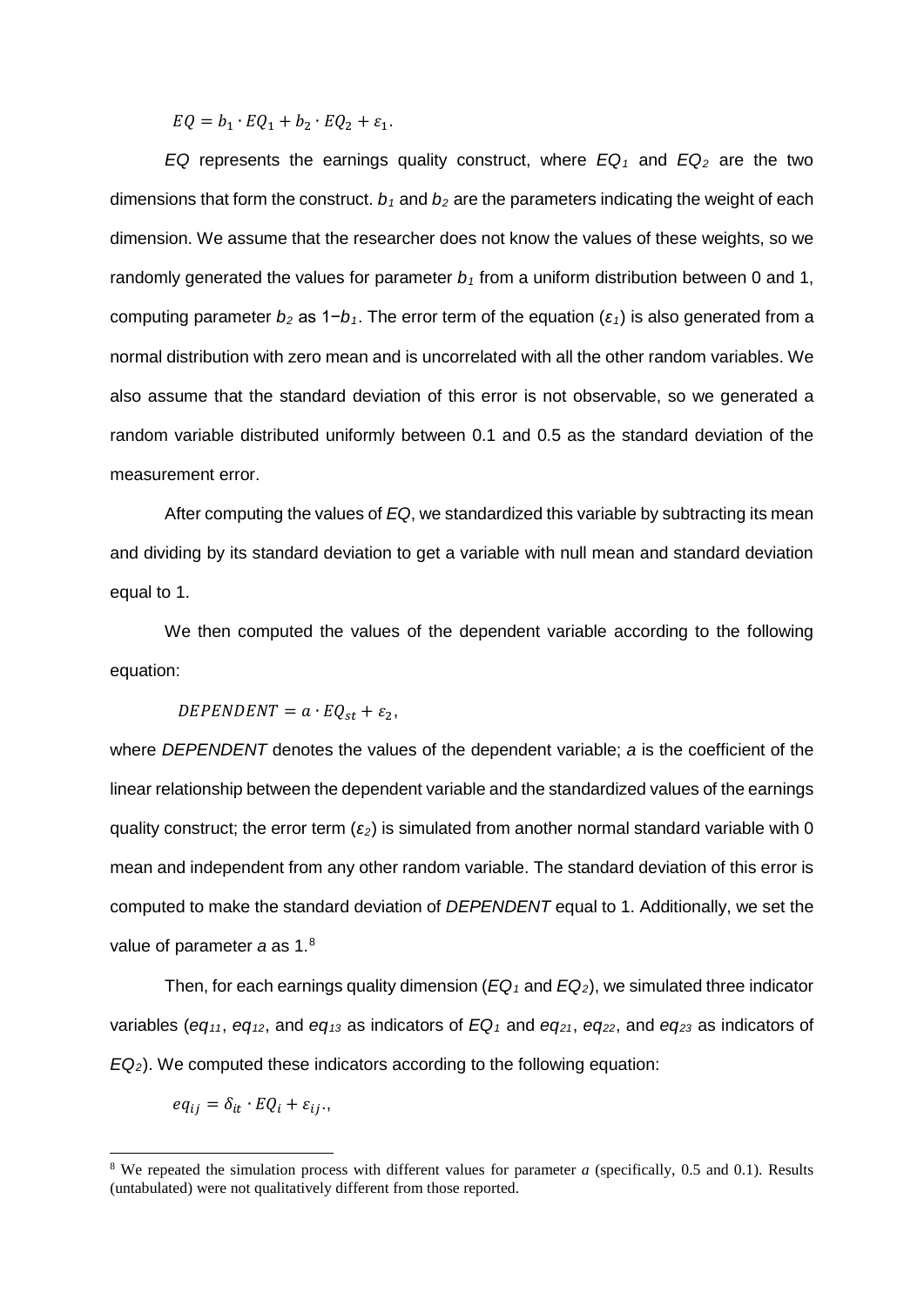$EQ = b_1 \cdot EQ_1 + b_2 \cdot EQ_2 + \varepsilon_1.$ 

*EQ* represents the earnings quality construct, where  $EQ_1$  and  $EQ_2$  are the two dimensions that form the construct.  $b_1$  and  $b_2$  are the parameters indicating the weight of each dimension. We assume that the researcher does not know the values of these weights, so we randomly generated the values for parameter  $b_1$  from a uniform distribution between 0 and 1, computing parameter *b2* as 1−*b1*. The error term of the equation (*ε1*) is also generated from a normal distribution with zero mean and is uncorrelated with all the other random variables. We also assume that the standard deviation of this error is not observable, so we generated a random variable distributed uniformly between 0.1 and 0.5 as the standard deviation of the measurement error.

After computing the values of *EQ*, we standardized this variable by subtracting its mean and dividing by its standard deviation to get a variable with null mean and standard deviation equal to 1.

We then computed the values of the dependent variable according to the following equation:

 $DEPENDENT = a \cdot EQ_{st} + \varepsilon_2,$ 

where *DEPENDENT* denotes the values of the dependent variable; *a* is the coefficient of the linear relationship between the dependent variable and the standardized values of the earnings quality construct; the error term (*ε2*) is simulated from another normal standard variable with 0 mean and independent from any other random variable. The standard deviation of this error is computed to make the standard deviation of *DEPENDENT* equal to 1. Additionally, we set the value of parameter *a* as 1.[8](#page-16-0)

Then, for each earnings quality dimension  $(EQ_1)$  and  $EQ_2)$ , we simulated three indicator variables (*eq11*, *eq12*, and *eq13* as indicators of *EQ1* and *eq21*, *eq22*, and *eq23* as indicators of *EQ2*). We computed these indicators according to the following equation:

$$
eq_{ij} = \delta_{it} \cdot EQ_i + \varepsilon_{ij}.
$$

<span id="page-16-0"></span><sup>8</sup> We repeated the simulation process with different values for parameter *a* (specifically, 0.5 and 0.1). Results (untabulated) were not qualitatively different from those reported.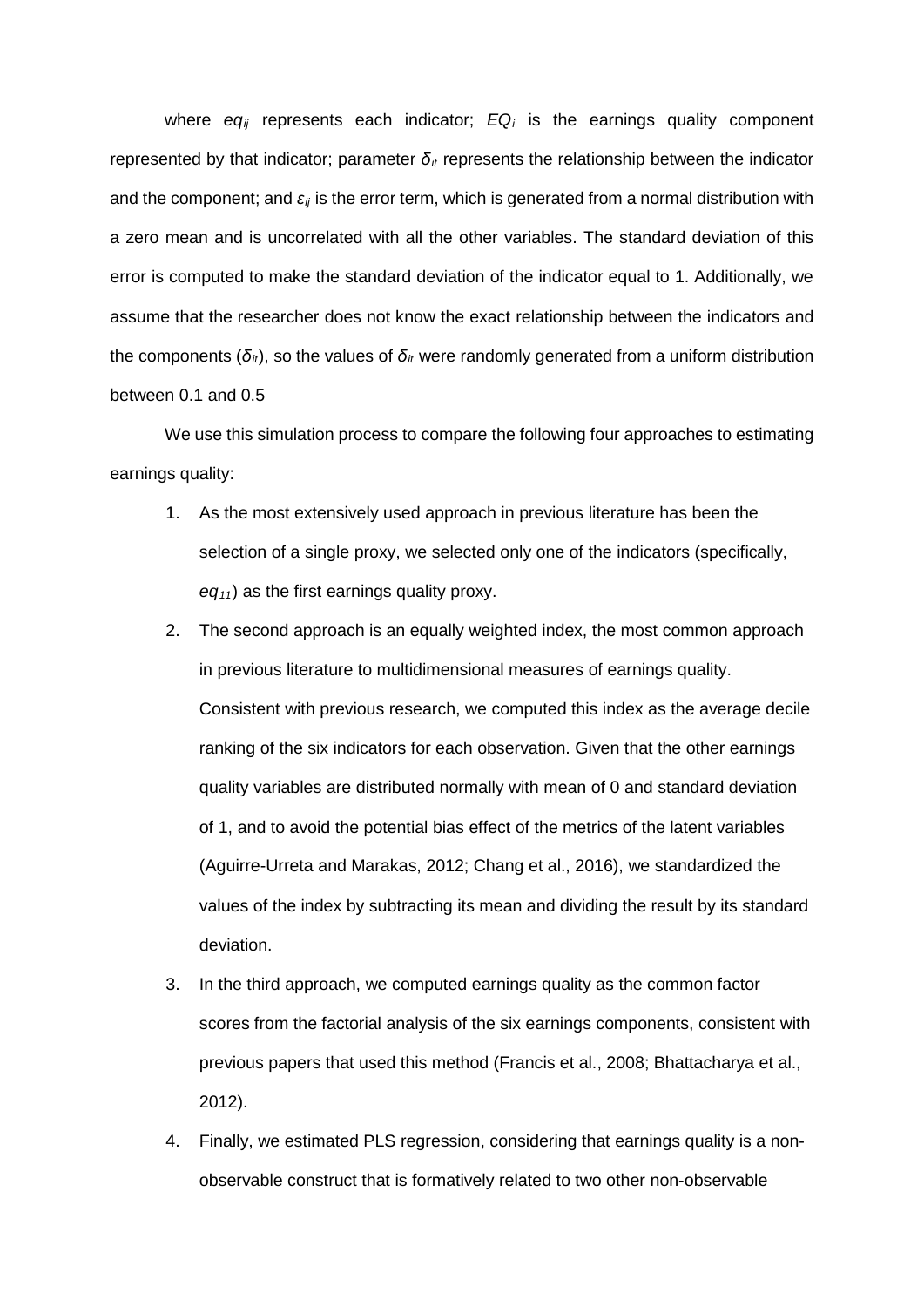where *eq<sub>ii</sub>* represents each indicator; *EQ<sub>i</sub>* is the earnings quality component represented by that indicator; parameter *δit* represents the relationship between the indicator and the component; and *εij* is the error term, which is generated from a normal distribution with a zero mean and is uncorrelated with all the other variables. The standard deviation of this error is computed to make the standard deviation of the indicator equal to 1. Additionally, we assume that the researcher does not know the exact relationship between the indicators and the components ( $\delta_i$ ), so the values of  $\delta_i$  were randomly generated from a uniform distribution between 0.1 and 0.5

We use this simulation process to compare the following four approaches to estimating earnings quality:

- 1. As the most extensively used approach in previous literature has been the selection of a single proxy, we selected only one of the indicators (specifically, *eq11*) as the first earnings quality proxy.
- 2. The second approach is an equally weighted index, the most common approach in previous literature to multidimensional measures of earnings quality. Consistent with previous research, we computed this index as the average decile ranking of the six indicators for each observation. Given that the other earnings quality variables are distributed normally with mean of 0 and standard deviation of 1, and to avoid the potential bias effect of the metrics of the latent variables (Aguirre-Urreta and Marakas, 2012; Chang et al., 2016), we standardized the values of the index by subtracting its mean and dividing the result by its standard deviation.
- 3. In the third approach, we computed earnings quality as the common factor scores from the factorial analysis of the six earnings components, consistent with previous papers that used this method (Francis et al., 2008; Bhattacharya et al., 2012).
- 4. Finally, we estimated PLS regression, considering that earnings quality is a nonobservable construct that is formatively related to two other non-observable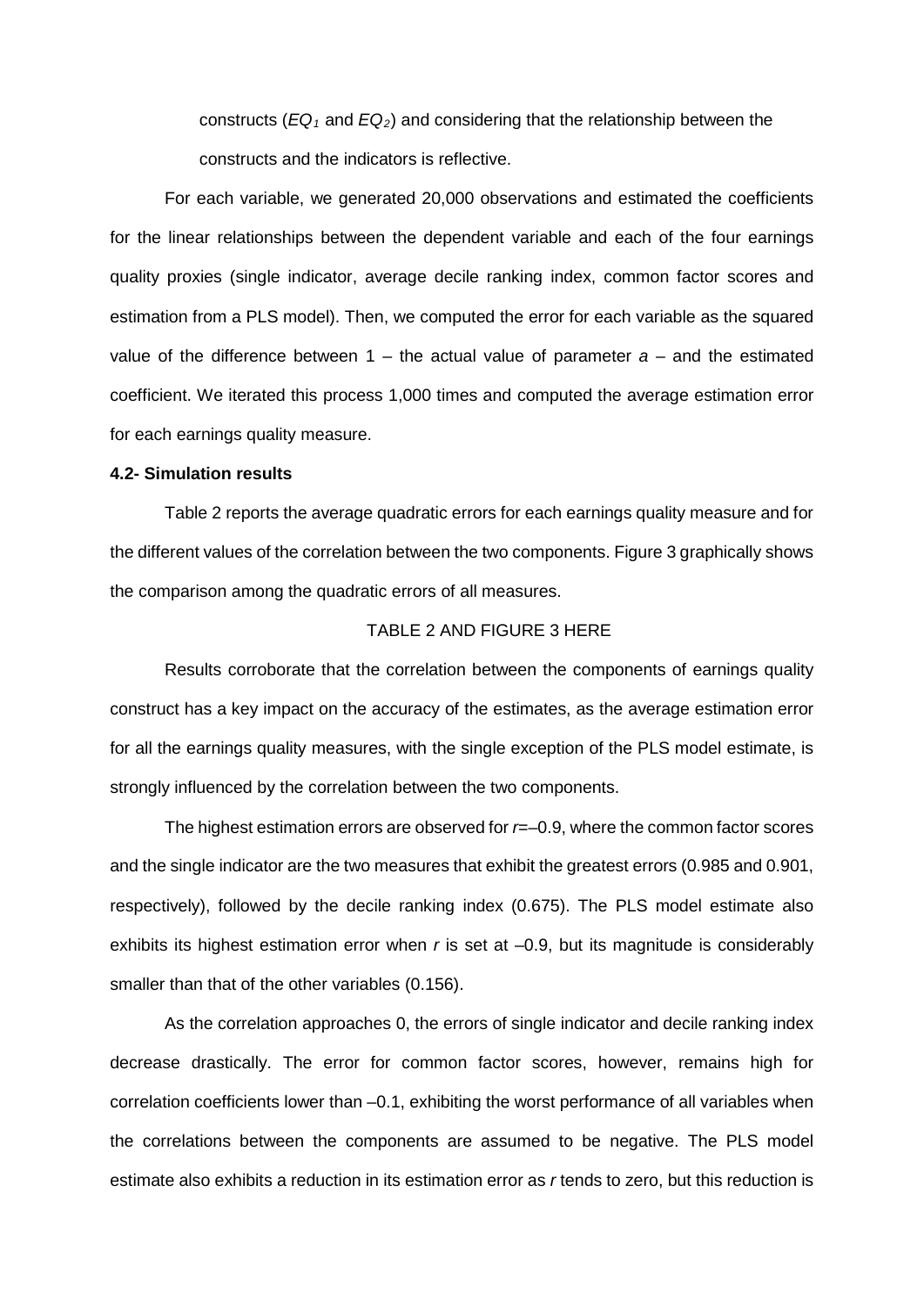constructs (*EQ1* and *EQ2*) and considering that the relationship between the constructs and the indicators is reflective.

For each variable, we generated 20,000 observations and estimated the coefficients for the linear relationships between the dependent variable and each of the four earnings quality proxies (single indicator, average decile ranking index, common factor scores and estimation from a PLS model). Then, we computed the error for each variable as the squared value of the difference between  $1 -$  the actual value of parameter  $a -$  and the estimated coefficient. We iterated this process 1,000 times and computed the average estimation error for each earnings quality measure.

### **4.2- Simulation results**

Table 2 reports the average quadratic errors for each earnings quality measure and for the different values of the correlation between the two components. Figure 3 graphically shows the comparison among the quadratic errors of all measures.

### TABLE 2 AND FIGURE 3 HERE

Results corroborate that the correlation between the components of earnings quality construct has a key impact on the accuracy of the estimates, as the average estimation error for all the earnings quality measures, with the single exception of the PLS model estimate, is strongly influenced by the correlation between the two components.

The highest estimation errors are observed for *r*=–0.9, where the common factor scores and the single indicator are the two measures that exhibit the greatest errors (0.985 and 0.901, respectively), followed by the decile ranking index (0.675). The PLS model estimate also exhibits its highest estimation error when *r* is set at –0.9, but its magnitude is considerably smaller than that of the other variables (0.156).

As the correlation approaches 0, the errors of single indicator and decile ranking index decrease drastically. The error for common factor scores, however, remains high for correlation coefficients lower than –0.1, exhibiting the worst performance of all variables when the correlations between the components are assumed to be negative. The PLS model estimate also exhibits a reduction in its estimation error as *r* tends to zero, but this reduction is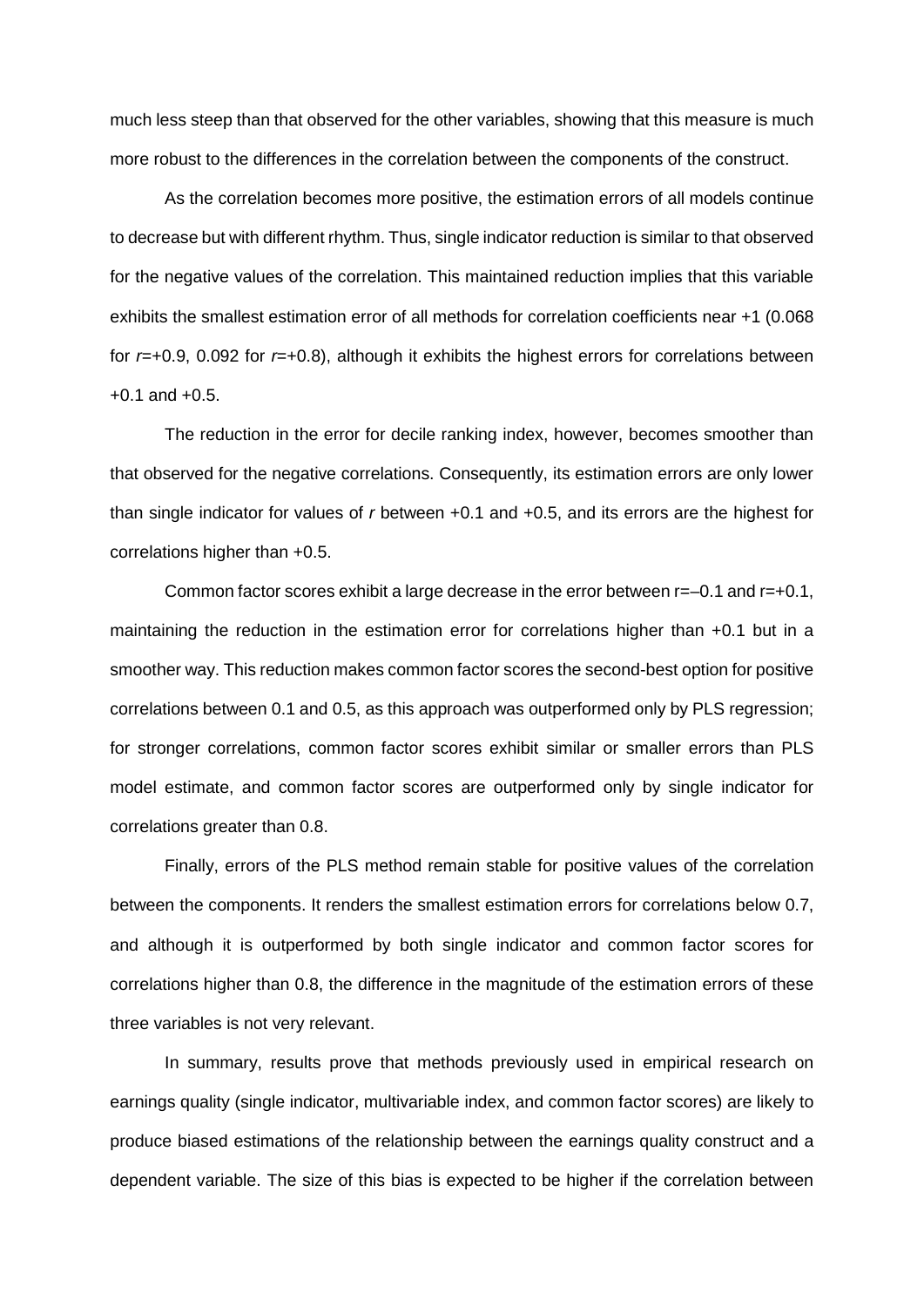much less steep than that observed for the other variables, showing that this measure is much more robust to the differences in the correlation between the components of the construct.

As the correlation becomes more positive, the estimation errors of all models continue to decrease but with different rhythm. Thus, single indicator reduction is similar to that observed for the negative values of the correlation. This maintained reduction implies that this variable exhibits the smallest estimation error of all methods for correlation coefficients near +1 (0.068 for *r*=+0.9, 0.092 for *r*=+0.8), although it exhibits the highest errors for correlations between  $+0.1$  and  $+0.5$ .

The reduction in the error for decile ranking index, however, becomes smoother than that observed for the negative correlations. Consequently, its estimation errors are only lower than single indicator for values of *r* between +0.1 and +0.5, and its errors are the highest for correlations higher than +0.5.

Common factor scores exhibit a large decrease in the error between  $r=-0.1$  and  $r=+0.1$ , maintaining the reduction in the estimation error for correlations higher than +0.1 but in a smoother way. This reduction makes common factor scores the second-best option for positive correlations between 0.1 and 0.5, as this approach was outperformed only by PLS regression; for stronger correlations, common factor scores exhibit similar or smaller errors than PLS model estimate, and common factor scores are outperformed only by single indicator for correlations greater than 0.8.

Finally, errors of the PLS method remain stable for positive values of the correlation between the components. It renders the smallest estimation errors for correlations below 0.7, and although it is outperformed by both single indicator and common factor scores for correlations higher than 0.8, the difference in the magnitude of the estimation errors of these three variables is not very relevant.

In summary, results prove that methods previously used in empirical research on earnings quality (single indicator, multivariable index, and common factor scores) are likely to produce biased estimations of the relationship between the earnings quality construct and a dependent variable. The size of this bias is expected to be higher if the correlation between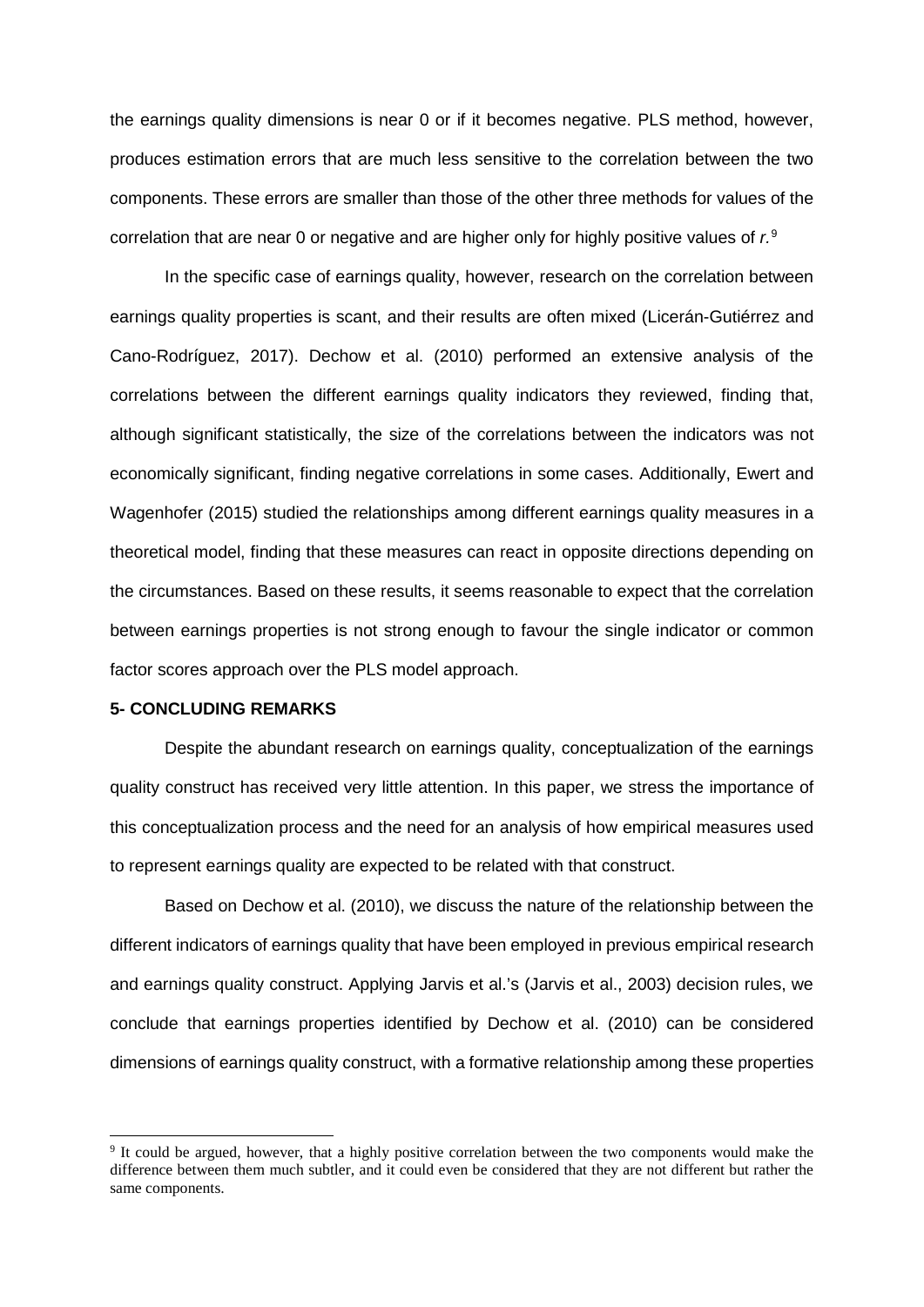the earnings quality dimensions is near 0 or if it becomes negative. PLS method, however, produces estimation errors that are much less sensitive to the correlation between the two components. These errors are smaller than those of the other three methods for values of the correlation that are near 0 or negative and are higher only for highly positive values of *r.*[9](#page-20-0)

In the specific case of earnings quality, however, research on the correlation between earnings quality properties is scant, and their results are often mixed (Licerán-Gutiérrez and Cano-Rodríguez, 2017). Dechow et al. (2010) performed an extensive analysis of the correlations between the different earnings quality indicators they reviewed, finding that, although significant statistically, the size of the correlations between the indicators was not economically significant, finding negative correlations in some cases. Additionally, Ewert and Wagenhofer (2015) studied the relationships among different earnings quality measures in a theoretical model, finding that these measures can react in opposite directions depending on the circumstances. Based on these results, it seems reasonable to expect that the correlation between earnings properties is not strong enough to favour the single indicator or common factor scores approach over the PLS model approach.

### **5- CONCLUDING REMARKS**

-

Despite the abundant research on earnings quality, conceptualization of the earnings quality construct has received very little attention. In this paper, we stress the importance of this conceptualization process and the need for an analysis of how empirical measures used to represent earnings quality are expected to be related with that construct.

Based on Dechow et al. (2010), we discuss the nature of the relationship between the different indicators of earnings quality that have been employed in previous empirical research and earnings quality construct. Applying Jarvis et al.'s (Jarvis et al., 2003) decision rules, we conclude that earnings properties identified by Dechow et al. (2010) can be considered dimensions of earnings quality construct, with a formative relationship among these properties

<span id="page-20-0"></span><sup>9</sup> It could be argued, however, that a highly positive correlation between the two components would make the difference between them much subtler, and it could even be considered that they are not different but rather the same components.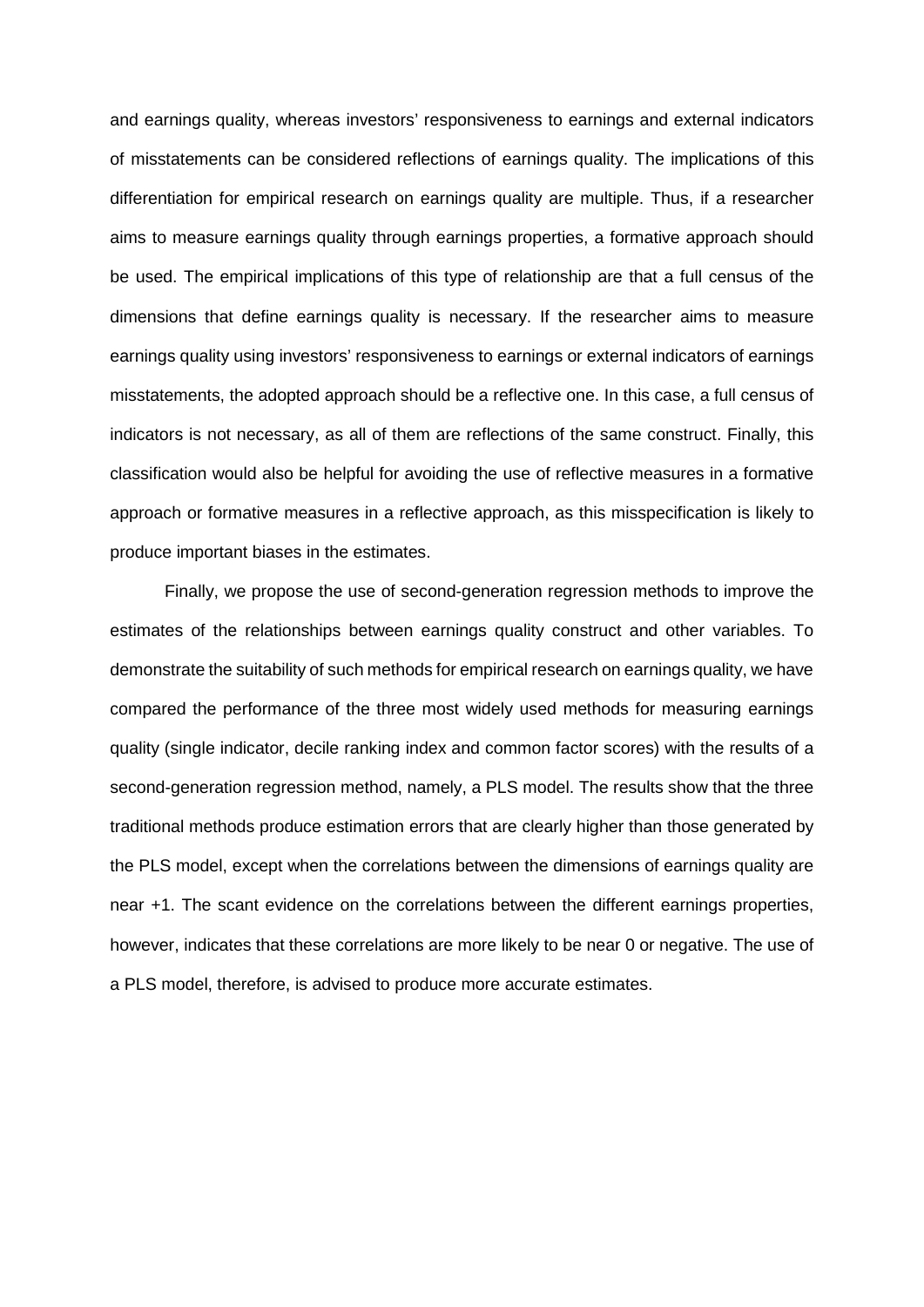and earnings quality, whereas investors' responsiveness to earnings and external indicators of misstatements can be considered reflections of earnings quality. The implications of this differentiation for empirical research on earnings quality are multiple. Thus, if a researcher aims to measure earnings quality through earnings properties, a formative approach should be used. The empirical implications of this type of relationship are that a full census of the dimensions that define earnings quality is necessary. If the researcher aims to measure earnings quality using investors' responsiveness to earnings or external indicators of earnings misstatements, the adopted approach should be a reflective one. In this case, a full census of indicators is not necessary, as all of them are reflections of the same construct. Finally, this classification would also be helpful for avoiding the use of reflective measures in a formative approach or formative measures in a reflective approach, as this misspecification is likely to produce important biases in the estimates.

Finally, we propose the use of second-generation regression methods to improve the estimates of the relationships between earnings quality construct and other variables. To demonstrate the suitability of such methods for empirical research on earnings quality, we have compared the performance of the three most widely used methods for measuring earnings quality (single indicator, decile ranking index and common factor scores) with the results of a second-generation regression method, namely, a PLS model. The results show that the three traditional methods produce estimation errors that are clearly higher than those generated by the PLS model, except when the correlations between the dimensions of earnings quality are near +1. The scant evidence on the correlations between the different earnings properties, however, indicates that these correlations are more likely to be near 0 or negative. The use of a PLS model, therefore, is advised to produce more accurate estimates.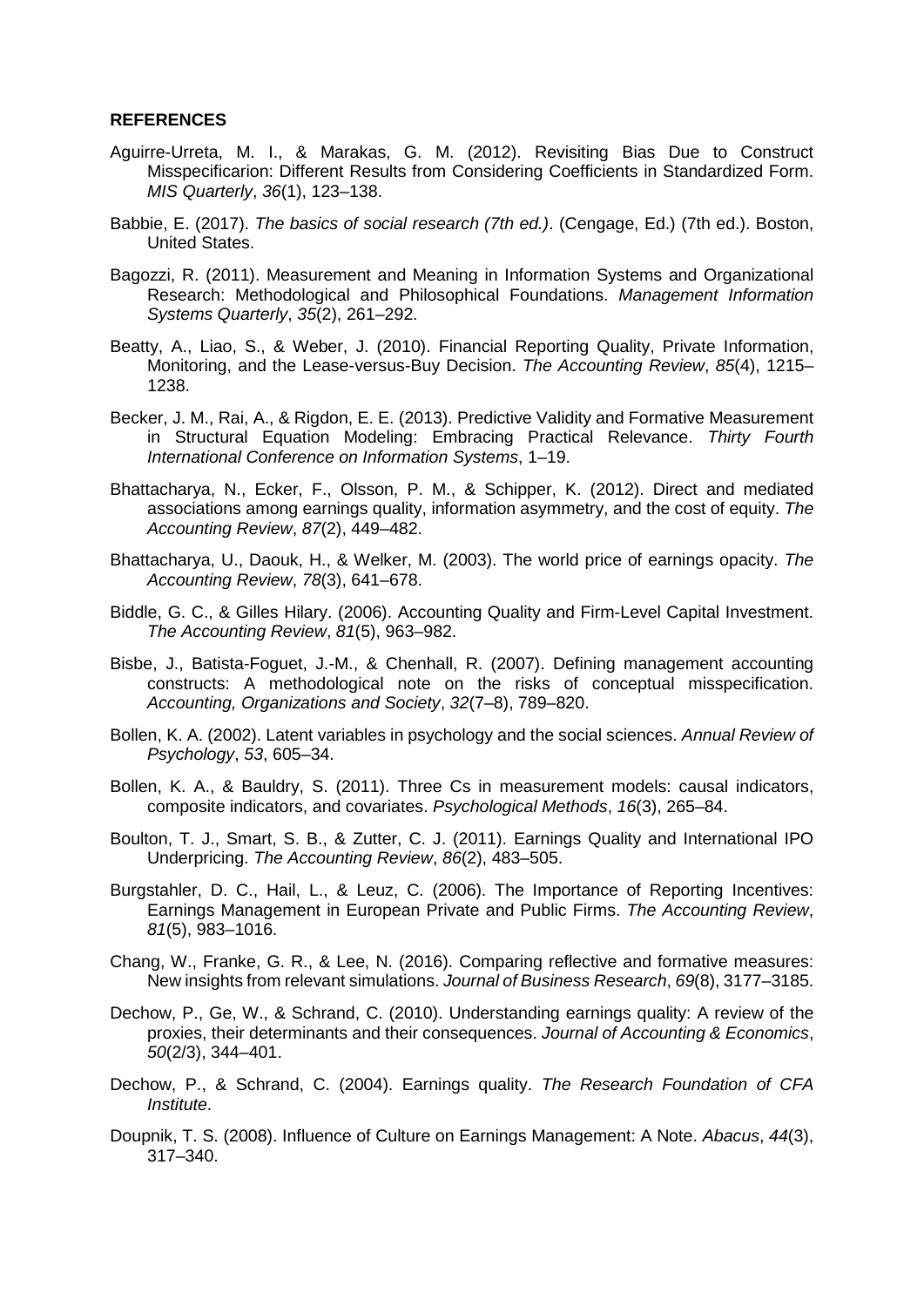### **REFERENCES**

- Aguirre-Urreta, M. I., & Marakas, G. M. (2012). Revisiting Bias Due to Construct Misspecificarion: Different Results from Considering Coefficients in Standardized Form. *MIS Quarterly*, *36*(1), 123–138.
- Babbie, E. (2017). *The basics of social research (7th ed.)*. (Cengage, Ed.) (7th ed.). Boston, United States.
- Bagozzi, R. (2011). Measurement and Meaning in Information Systems and Organizational Research: Methodological and Philosophical Foundations. *Management Information Systems Quarterly*, *35*(2), 261–292.
- Beatty, A., Liao, S., & Weber, J. (2010). Financial Reporting Quality, Private Information, Monitoring, and the Lease-versus-Buy Decision. *The Accounting Review*, *85*(4), 1215– 1238.
- Becker, J. M., Rai, A., & Rigdon, E. E. (2013). Predictive Validity and Formative Measurement in Structural Equation Modeling: Embracing Practical Relevance. *Thirty Fourth International Conference on Information Systems*, 1–19.
- Bhattacharya, N., Ecker, F., Olsson, P. M., & Schipper, K. (2012). Direct and mediated associations among earnings quality, information asymmetry, and the cost of equity. *The Accounting Review*, *87*(2), 449–482.
- Bhattacharya, U., Daouk, H., & Welker, M. (2003). The world price of earnings opacity. *The Accounting Review*, *78*(3), 641–678.
- Biddle, G. C., & Gilles Hilary. (2006). Accounting Quality and Firm-Level Capital Investment. *The Accounting Review*, *81*(5), 963–982.
- Bisbe, J., Batista-Foguet, J.-M., & Chenhall, R. (2007). Defining management accounting constructs: A methodological note on the risks of conceptual misspecification. *Accounting, Organizations and Society*, *32*(7–8), 789–820.
- Bollen, K. A. (2002). Latent variables in psychology and the social sciences. *Annual Review of Psychology*, *53*, 605–34.
- Bollen, K. A., & Bauldry, S. (2011). Three Cs in measurement models: causal indicators, composite indicators, and covariates. *Psychological Methods*, *16*(3), 265–84.
- Boulton, T. J., Smart, S. B., & Zutter, C. J. (2011). Earnings Quality and International IPO Underpricing. *The Accounting Review*, *86*(2), 483–505.
- Burgstahler, D. C., Hail, L., & Leuz, C. (2006). The Importance of Reporting Incentives: Earnings Management in European Private and Public Firms. *The Accounting Review*, *81*(5), 983–1016.
- Chang, W., Franke, G. R., & Lee, N. (2016). Comparing reflective and formative measures: New insights from relevant simulations. *Journal of Business Research*, *69*(8), 3177–3185.
- Dechow, P., Ge, W., & Schrand, C. (2010). Understanding earnings quality: A review of the proxies, their determinants and their consequences. *Journal of Accounting & Economics*, *50*(2/3), 344–401.
- Dechow, P., & Schrand, C. (2004). Earnings quality. *The Research Foundation of CFA Institute*.
- Doupnik, T. S. (2008). Influence of Culture on Earnings Management: A Note. *Abacus*, *44*(3), 317–340.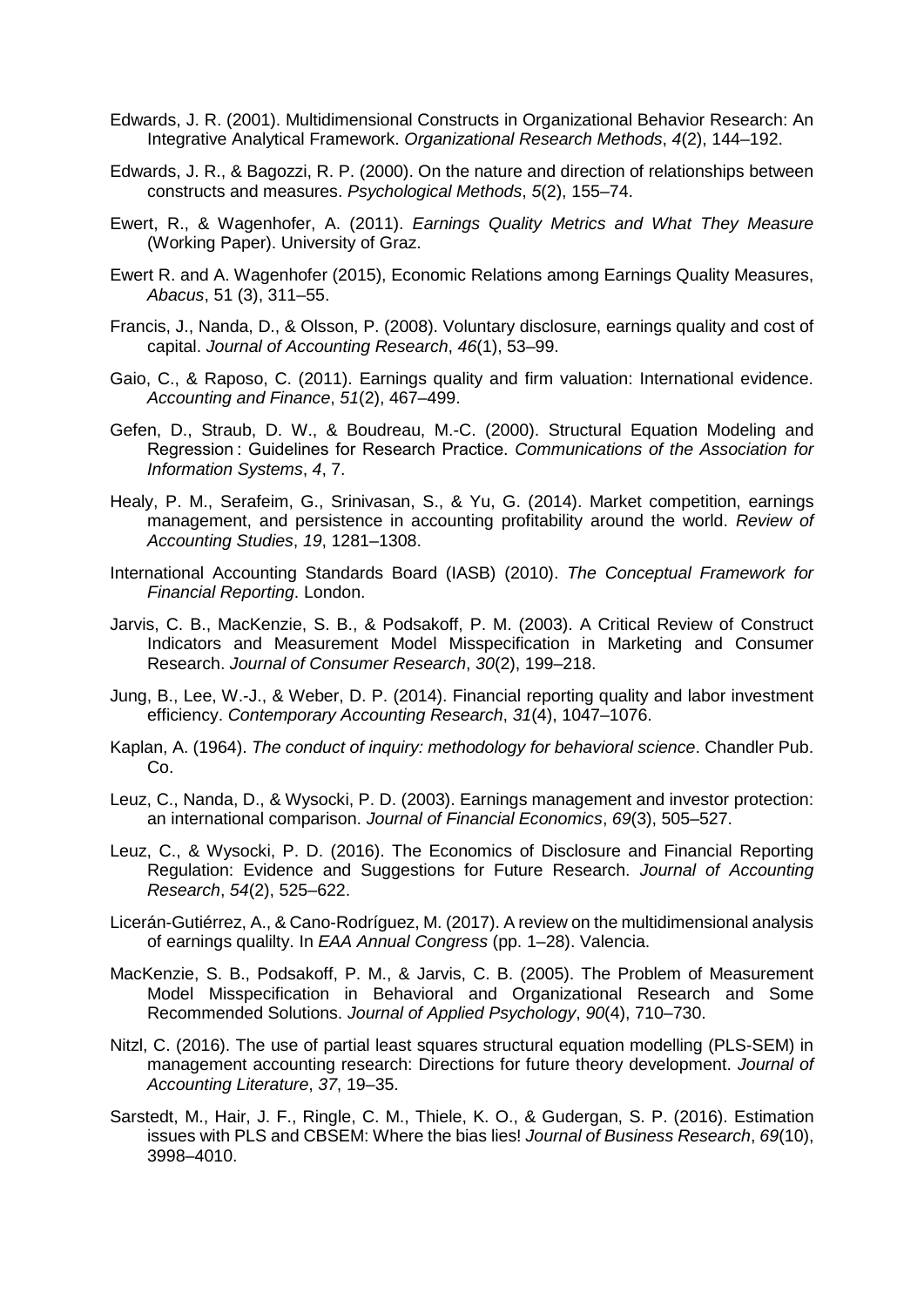- Edwards, J. R. (2001). Multidimensional Constructs in Organizational Behavior Research: An Integrative Analytical Framework. *Organizational Research Methods*, *4*(2), 144–192.
- Edwards, J. R., & Bagozzi, R. P. (2000). On the nature and direction of relationships between constructs and measures. *Psychological Methods*, *5*(2), 155–74.
- Ewert, R., & Wagenhofer, A. (2011). *Earnings Quality Metrics and What They Measure* (Working Paper). University of Graz.
- Ewert R. and A. Wagenhofer (2015), Economic Relations among Earnings Quality Measures, *Abacus*, 51 (3), 311–55.
- Francis, J., Nanda, D., & Olsson, P. (2008). Voluntary disclosure, earnings quality and cost of capital. *Journal of Accounting Research*, *46*(1), 53–99.
- Gaio, C., & Raposo, C. (2011). Earnings quality and firm valuation: International evidence. *Accounting and Finance*, *51*(2), 467–499.
- Gefen, D., Straub, D. W., & Boudreau, M.-C. (2000). Structural Equation Modeling and Regression : Guidelines for Research Practice. *Communications of the Association for Information Systems*, *4*, 7.
- Healy, P. M., Serafeim, G., Srinivasan, S., & Yu, G. (2014). Market competition, earnings management, and persistence in accounting profitability around the world. *Review of Accounting Studies*, *19*, 1281–1308.
- International Accounting Standards Board (IASB) (2010). *The Conceptual Framework for Financial Reporting*. London.
- Jarvis, C. B., MacKenzie, S. B., & Podsakoff, P. M. (2003). A Critical Review of Construct Indicators and Measurement Model Misspecification in Marketing and Consumer Research. *Journal of Consumer Research*, *30*(2), 199–218.
- Jung, B., Lee, W.-J., & Weber, D. P. (2014). Financial reporting quality and labor investment efficiency. *Contemporary Accounting Research*, *31*(4), 1047–1076.
- Kaplan, A. (1964). *The conduct of inquiry: methodology for behavioral science*. Chandler Pub. Co.
- Leuz, C., Nanda, D., & Wysocki, P. D. (2003). Earnings management and investor protection: an international comparison. *Journal of Financial Economics*, *69*(3), 505–527.
- Leuz, C., & Wysocki, P. D. (2016). The Economics of Disclosure and Financial Reporting Regulation: Evidence and Suggestions for Future Research. *Journal of Accounting Research*, *54*(2), 525–622.
- Licerán-Gutiérrez, A., & Cano-Rodríguez, M. (2017). A review on the multidimensional analysis of earnings qualilty. In *EAA Annual Congress* (pp. 1–28). Valencia.
- MacKenzie, S. B., Podsakoff, P. M., & Jarvis, C. B. (2005). The Problem of Measurement Model Misspecification in Behavioral and Organizational Research and Some Recommended Solutions. *Journal of Applied Psychology*, *90*(4), 710–730.
- Nitzl, C. (2016). The use of partial least squares structural equation modelling (PLS-SEM) in management accounting research: Directions for future theory development. *Journal of Accounting Literature*, *37*, 19–35.
- Sarstedt, M., Hair, J. F., Ringle, C. M., Thiele, K. O., & Gudergan, S. P. (2016). Estimation issues with PLS and CBSEM: Where the bias lies! *Journal of Business Research*, *69*(10), 3998–4010.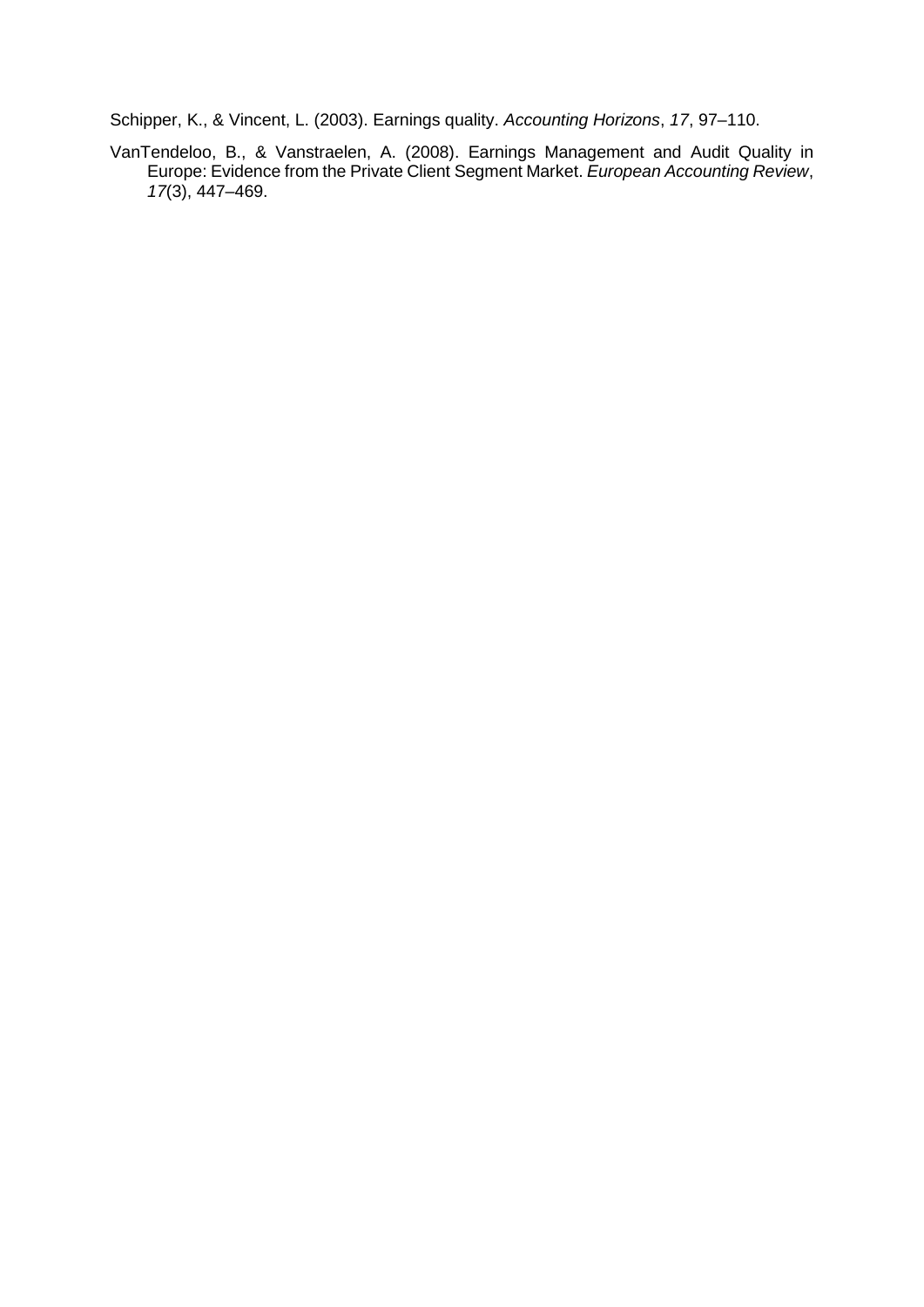Schipper, K., & Vincent, L. (2003). Earnings quality. *Accounting Horizons*, *17*, 97–110.

VanTendeloo, B., & Vanstraelen, A. (2008). Earnings Management and Audit Quality in Europe: Evidence from the Private Client Segment Market. *European Accounting Review*, *17*(3), 447–469.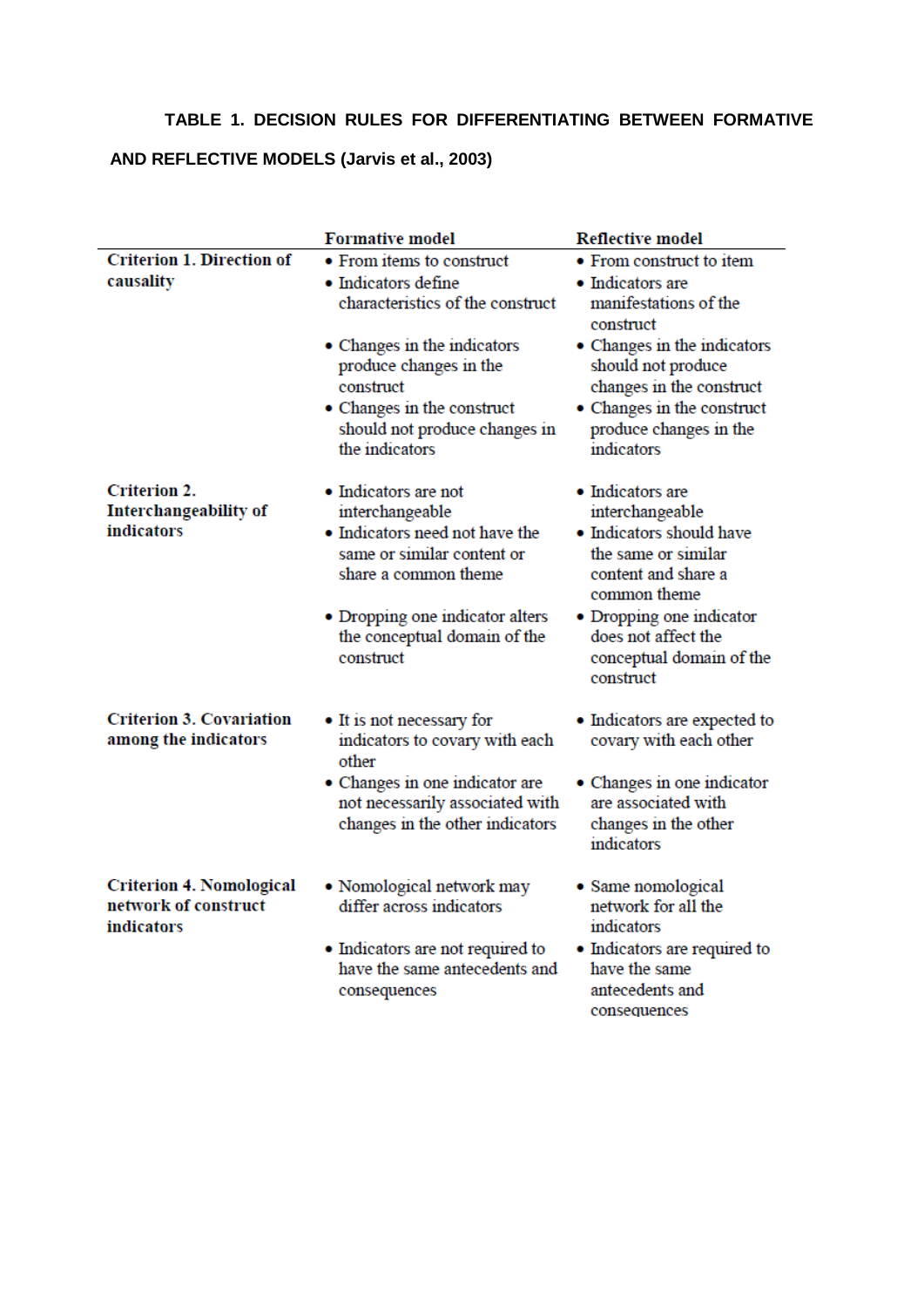### **TABLE 1. DECISION RULES FOR DIFFERENTIATING BETWEEN FORMATIVE**

## **AND REFLECTIVE MODELS (Jarvis et al., 2003)**

|                                                                       | <b>Formative model</b><br><b>Reflective model</b>                                                                                                                                                                       |                                                                                                                                                                                                                           |  |
|-----------------------------------------------------------------------|-------------------------------------------------------------------------------------------------------------------------------------------------------------------------------------------------------------------------|---------------------------------------------------------------------------------------------------------------------------------------------------------------------------------------------------------------------------|--|
| <b>Criterion 1. Direction of</b><br>causality                         | • From items to construct<br>• Indicators define<br>characteristics of the construct                                                                                                                                    | • From construct to item<br>• Indicators are<br>manifestations of the<br>construct                                                                                                                                        |  |
|                                                                       | • Changes in the indicators<br>produce changes in the<br>construct<br>• Changes in the construct<br>should not produce changes in<br>the indicators                                                                     | • Changes in the indicators<br>should not produce<br>changes in the construct<br>• Changes in the construct<br>produce changes in the<br>indicators                                                                       |  |
| <b>Criterion 2.</b><br>Interchangeability of<br><i>indicators</i>     | $\bullet$ Indicators are not<br>interchangeable<br>• Indicators need not have the<br>same or similar content or<br>share a common theme<br>• Dropping one indicator alters<br>the conceptual domain of the<br>construct | · Indicators are<br>interchangeable<br>• Indicators should have<br>the same or similar<br>content and share a<br>common theme<br>• Dropping one indicator<br>does not affect the<br>conceptual domain of the<br>construct |  |
| <b>Criterion 3. Covariation</b><br>among the indicators               | • It is not necessary for<br>indicators to covary with each<br>other<br>• Changes in one indicator are<br>not necessarily associated with<br>changes in the other indicators                                            | • Indicators are expected to<br>covary with each other<br>• Changes in one indicator<br>are associated with<br>changes in the other<br>indicators                                                                         |  |
| <b>Criterion 4. Nomological</b><br>network of construct<br>indicators | • Nomological network may<br>differ across indicators<br>• Indicators are not required to<br>have the same antecedents and<br>consequences                                                                              | • Same nomological<br>network for all the<br>indicators<br>• Indicators are required to<br>have the same<br>antecedents and                                                                                               |  |

consequences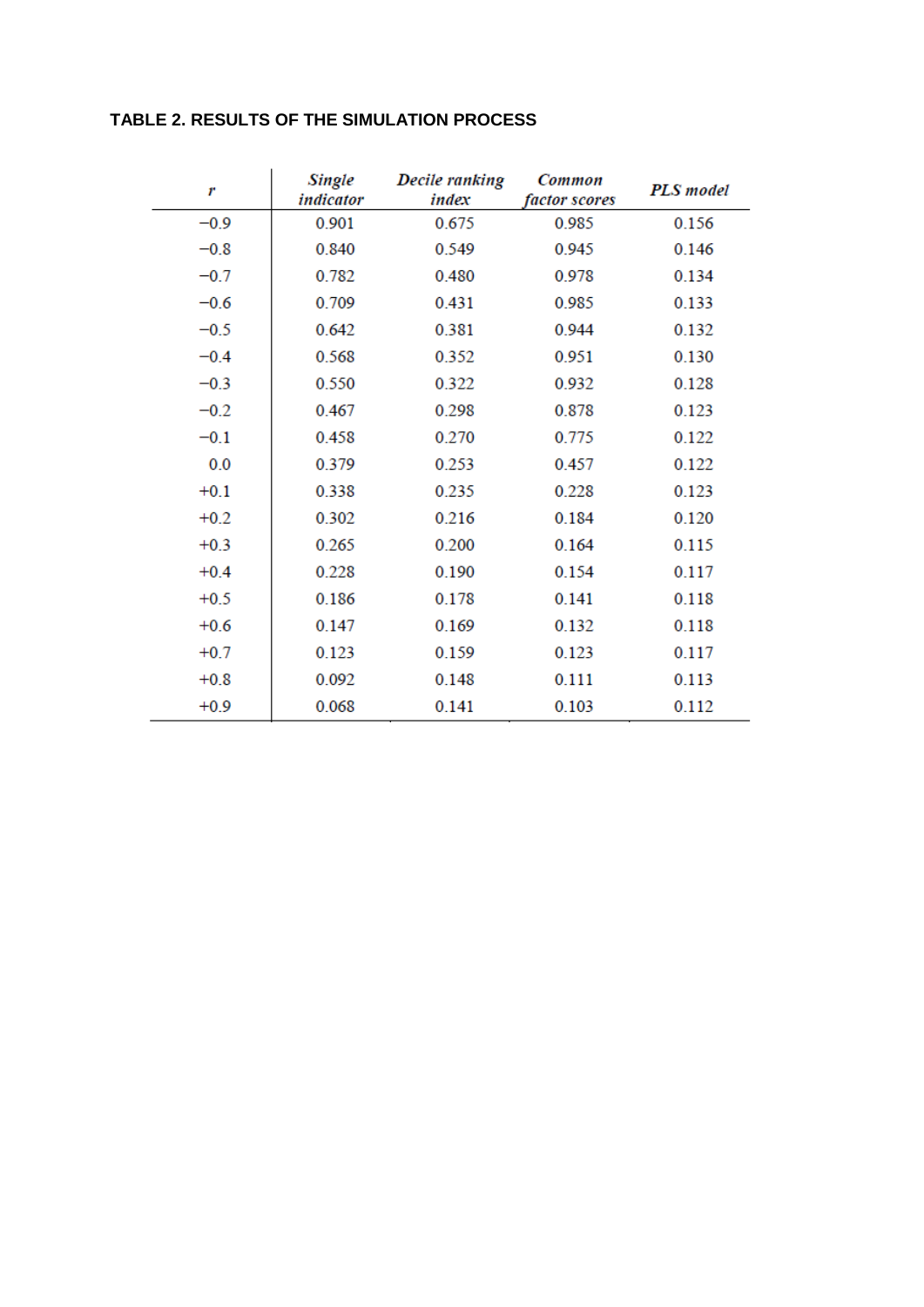### **TABLE 2. RESULTS OF THE SIMULATION PROCESS**

| r      | Single<br>indicator | <b>Decile ranking</b><br>index | Common<br>factor scores | <b>PLS</b> model |
|--------|---------------------|--------------------------------|-------------------------|------------------|
| $-0.9$ | 0.901               | 0.675                          | 0.985                   | 0.156            |
| $-0.8$ | 0.840               | 0.549                          | 0.945                   | 0.146            |
| $-0.7$ | 0.782               | 0.480                          | 0.978                   | 0.134            |
| $-0.6$ | 0.709               | 0.431                          | 0.985                   | 0.133            |
| $-0.5$ | 0.642               | 0.381                          | 0.944                   | 0.132            |
| $-0.4$ | 0.568               | 0.352                          | 0.951                   | 0.130            |
| $-0.3$ | 0.550               | 0.322                          | 0.932                   | 0.128            |
| $-0.2$ | 0.467               | 0.298                          | 0.878                   | 0.123            |
| $-0.1$ | 0.458               | 0.270                          | 0.775                   | 0.122            |
| 0.0    | 0.379               | 0.253                          | 0.457                   | 0.122            |
| $+0.1$ | 0.338               | 0.235                          | 0.228                   | 0.123            |
| $+0.2$ | 0.302               | 0.216                          | 0.184                   | 0.120            |
| $+0.3$ | 0.265               | 0.200                          | 0.164                   | 0.115            |
| $+0.4$ | 0.228               | 0.190                          | 0.154                   | 0.117            |
| $+0.5$ | 0.186               | 0.178                          | 0.141                   | 0.118            |
| $+0.6$ | 0.147               | 0.169                          | 0.132                   | 0.118            |
| $+0.7$ | 0.123               | 0.159                          | 0.123                   | 0.117            |
| $+0.8$ | 0.092               | 0.148                          | 0.111                   | 0.113            |
| $+0.9$ | 0.068               | 0.141                          | 0.103                   | 0.112            |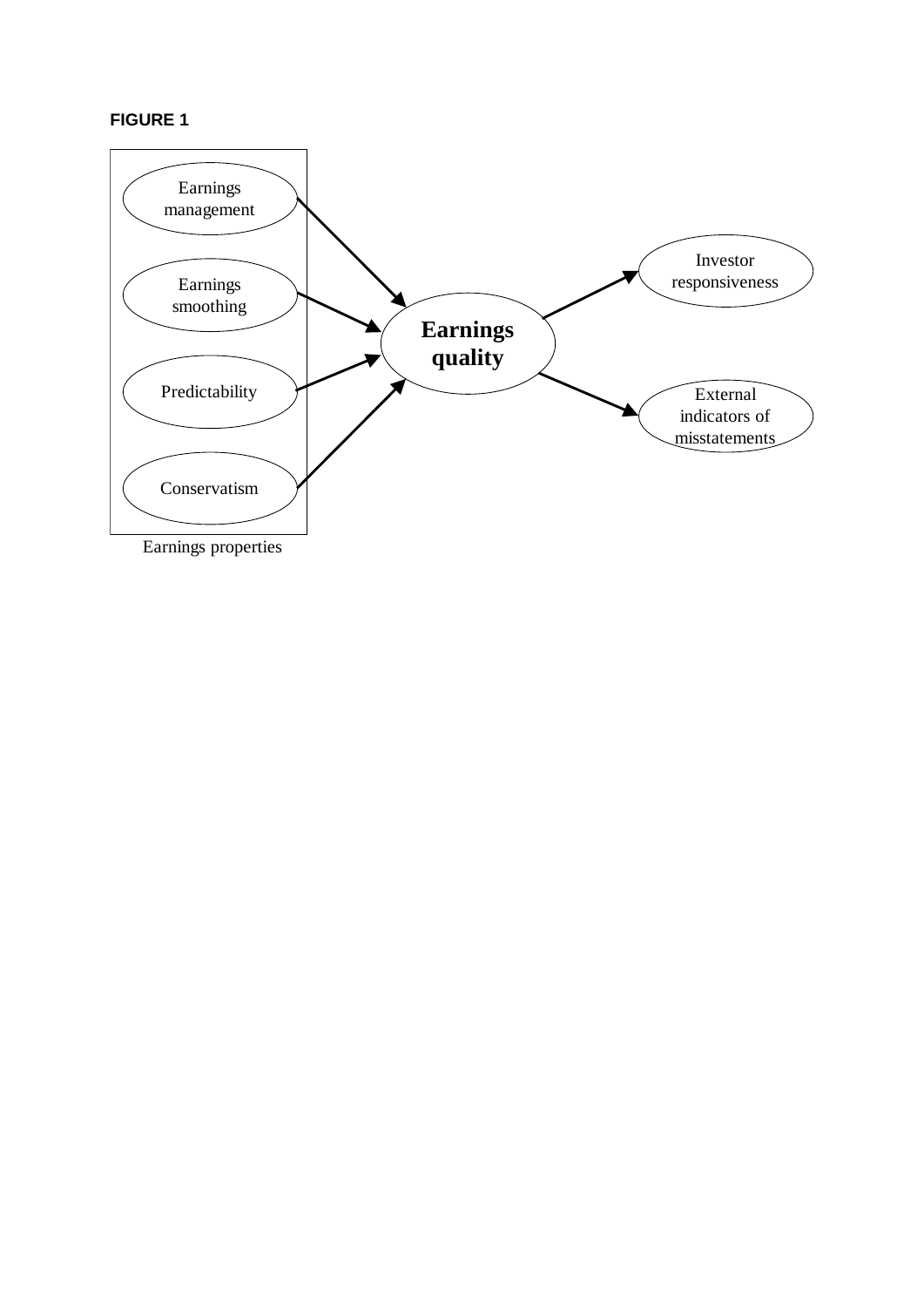## **FIGURE 1**

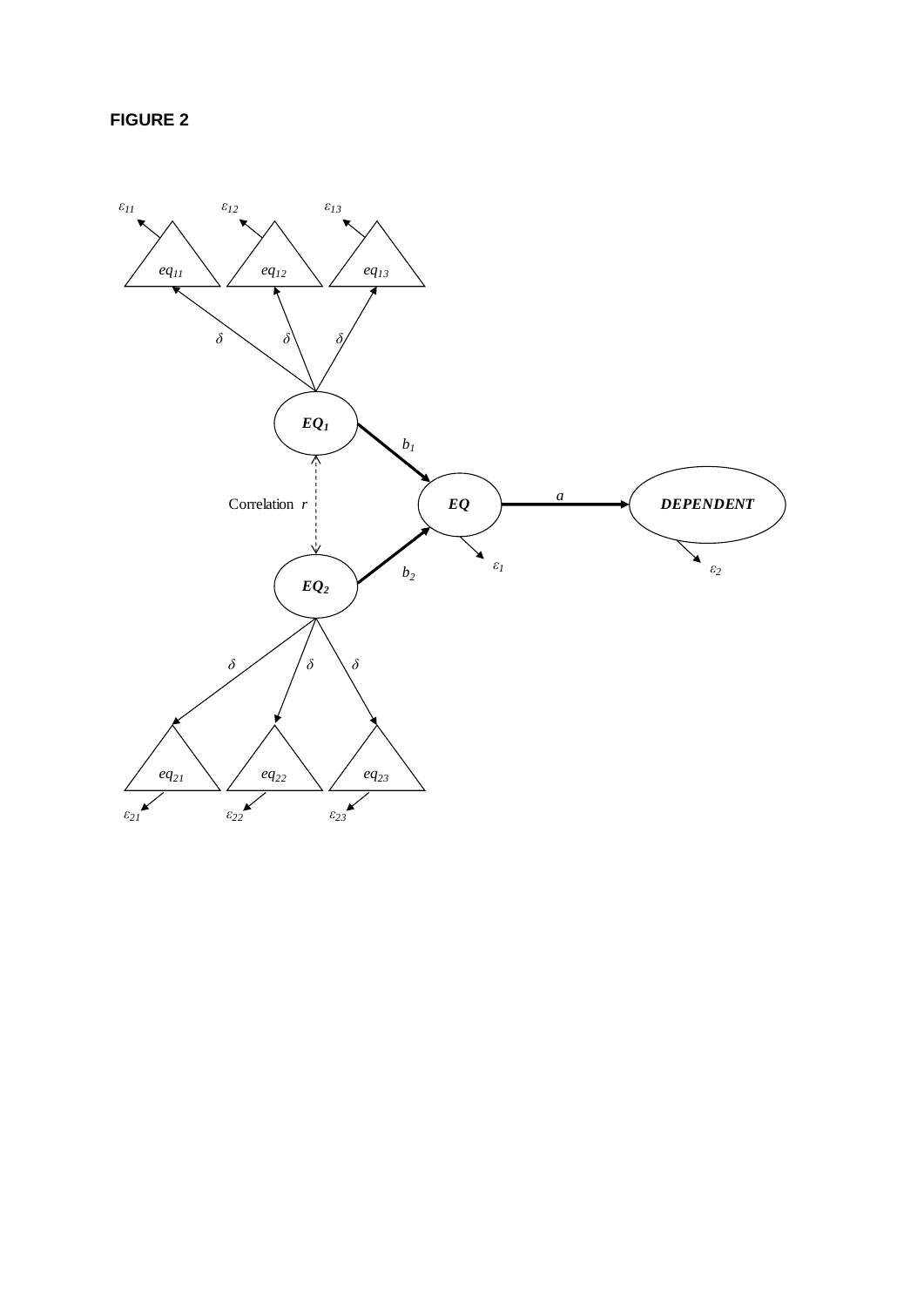**FIGURE 2**